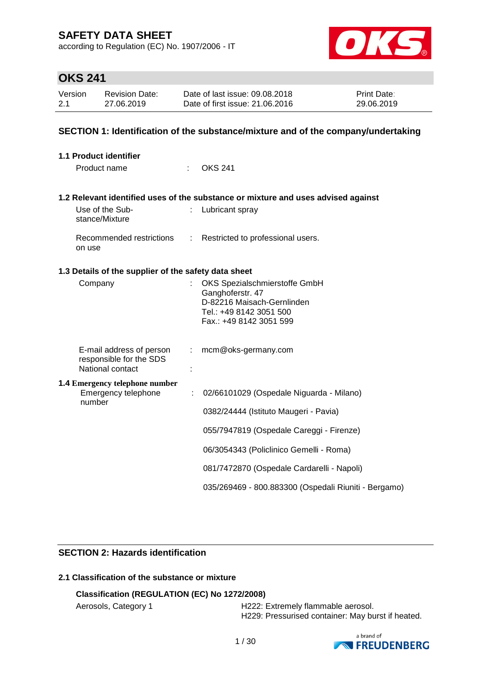according to Regulation (EC) No. 1907/2006 - IT



### **OKS 241**

| Version | <b>Revision Date:</b> | Date of last issue: 09.08.2018  | <b>Print Date:</b> |
|---------|-----------------------|---------------------------------|--------------------|
| 2.1     | 27.06.2019            | Date of first issue: 21,06,2016 | 29.06.2019         |

### **SECTION 1: Identification of the substance/mixture and of the company/undertaking**

| 1.1 Product identifier                                                  |                               |                                                                                                                                       |
|-------------------------------------------------------------------------|-------------------------------|---------------------------------------------------------------------------------------------------------------------------------------|
| Product name                                                            |                               | <b>OKS 241</b>                                                                                                                        |
|                                                                         |                               | 1.2 Relevant identified uses of the substance or mixture and uses advised against                                                     |
| Use of the Sub-<br>stance/Mixture                                       |                               | Lubricant spray                                                                                                                       |
| Recommended restrictions<br>on use                                      | $\mathcal{L}^{\mathcal{L}}$ . | Restricted to professional users.                                                                                                     |
| 1.3 Details of the supplier of the safety data sheet                    |                               |                                                                                                                                       |
| Company                                                                 |                               | OKS Spezialschmierstoffe GmbH<br>Ganghoferstr. 47<br>D-82216 Maisach-Gernlinden<br>Tel.: +49 8142 3051 500<br>Fax.: +49 8142 3051 599 |
| E-mail address of person<br>responsible for the SDS<br>National contact | ÷.                            | mcm@oks-germany.com                                                                                                                   |
| <b>1.4 Emergency telephone number</b><br>Emergency telephone<br>number  | ÷                             | 02/66101029 (Ospedale Niguarda - Milano)                                                                                              |
|                                                                         |                               | 0382/24444 (Istituto Maugeri - Pavia)                                                                                                 |
|                                                                         |                               | 055/7947819 (Ospedale Careggi - Firenze)                                                                                              |
|                                                                         |                               | 06/3054343 (Policlinico Gemelli - Roma)                                                                                               |
|                                                                         |                               | 081/7472870 (Ospedale Cardarelli - Napoli)                                                                                            |
|                                                                         |                               | 035/269469 - 800.883300 (Ospedali Riuniti - Bergamo)                                                                                  |

### **SECTION 2: Hazards identification**

### **2.1 Classification of the substance or mixture**

### **Classification (REGULATION (EC) No 1272/2008)**

Aerosols, Category 1 **H222: Extremely flammable aerosol.** H229: Pressurised container: May burst if heated.

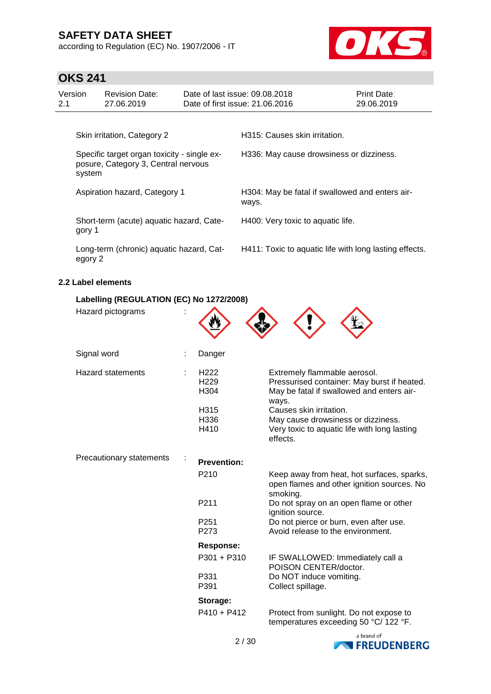according to Regulation (EC) No. 1907/2006 - IT



### **OKS 241**

| Version<br>2.1                                                                               | <b>Revision Date:</b><br>27.06.2019 | Date of last issue: 09.08.2018<br>Date of first issue: 21.06.2016 |                                          | <b>Print Date:</b><br>29.06.2019 |  |
|----------------------------------------------------------------------------------------------|-------------------------------------|-------------------------------------------------------------------|------------------------------------------|----------------------------------|--|
|                                                                                              | Skin irritation, Category 2         |                                                                   | H315: Causes skin irritation.            |                                  |  |
| Specific target organ toxicity - single ex-<br>posure, Category 3, Central nervous<br>system |                                     |                                                                   | H336: May cause drowsiness or dizziness. |                                  |  |

Short-term (acute) aquatic hazard, Category 1

Long-term (chronic) aquatic hazard, Category 2

Aspiration hazard, Category 1 **H304: May be fatal if swallowed and enters air**ways.

H400: Very toxic to aquatic life.

H411: Toxic to aquatic life with long lasting effects.

### **2.2 Label elements**

| Labelling (REGULATION (EC) No 1272/2008) |  |                                                                                  |                                                                                                                                                                                                                                                                |
|------------------------------------------|--|----------------------------------------------------------------------------------|----------------------------------------------------------------------------------------------------------------------------------------------------------------------------------------------------------------------------------------------------------------|
| Hazard pictograms                        |  |                                                                                  |                                                                                                                                                                                                                                                                |
| Signal word                              |  | Danger                                                                           |                                                                                                                                                                                                                                                                |
| <b>Hazard statements</b>                 |  | H <sub>222</sub><br>H <sub>229</sub><br>H <sub>304</sub><br>H315<br>H336<br>H410 | Extremely flammable aerosol.<br>Pressurised container: May burst if heated.<br>May be fatal if swallowed and enters air-<br>ways.<br>Causes skin irritation.<br>May cause drowsiness or dizziness.<br>Very toxic to aquatic life with long lasting<br>effects. |
| Precautionary statements                 |  | <b>Prevention:</b>                                                               |                                                                                                                                                                                                                                                                |
|                                          |  | P210                                                                             | Keep away from heat, hot surfaces, sparks,<br>open flames and other ignition sources. No<br>smoking.                                                                                                                                                           |
|                                          |  | P211                                                                             | Do not spray on an open flame or other<br>ignition source.                                                                                                                                                                                                     |
|                                          |  | P <sub>251</sub><br>P273                                                         | Do not pierce or burn, even after use.<br>Avoid release to the environment.                                                                                                                                                                                    |
|                                          |  | <b>Response:</b>                                                                 |                                                                                                                                                                                                                                                                |
|                                          |  | P301 + P310                                                                      | IF SWALLOWED: Immediately call a<br>POISON CENTER/doctor.                                                                                                                                                                                                      |
|                                          |  | P331<br>P391                                                                     | Do NOT induce vomiting.<br>Collect spillage.                                                                                                                                                                                                                   |
|                                          |  | Storage:                                                                         |                                                                                                                                                                                                                                                                |
|                                          |  | $P410 + P412$                                                                    | Protect from sunlight. Do not expose to<br>temperatures exceeding 50 °C/ 122 °F.                                                                                                                                                                               |

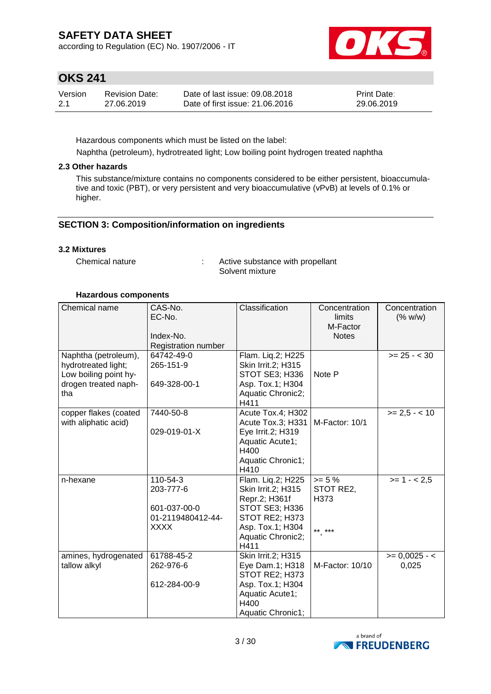according to Regulation (EC) No. 1907/2006 - IT



### **OKS 241**

| Version | <b>Revision Date:</b> | Date of last issue: 09.08.2018  | <b>Print Date:</b> |
|---------|-----------------------|---------------------------------|--------------------|
| -2.1    | 27.06.2019            | Date of first issue: 21,06,2016 | 29.06.2019         |

Hazardous components which must be listed on the label:

Naphtha (petroleum), hydrotreated light; Low boiling point hydrogen treated naphtha

### **2.3 Other hazards**

This substance/mixture contains no components considered to be either persistent, bioaccumulative and toxic (PBT), or very persistent and very bioaccumulative (vPvB) at levels of 0.1% or higher.

### **SECTION 3: Composition/information on ingredients**

### **3.2 Mixtures**

Chemical nature  $\qquad \qquad : \qquad$  Active substance with propellant Solvent mixture

### **Hazardous components**

| Chemical name         | CAS-No.                           | Classification                   | Concentration      | Concentration   |
|-----------------------|-----------------------------------|----------------------------------|--------------------|-----------------|
|                       | EC-No.                            |                                  | limits<br>M-Factor | (% w/w)         |
|                       | Index-No.                         |                                  | <b>Notes</b>       |                 |
|                       | Registration number               |                                  |                    |                 |
| Naphtha (petroleum),  | 64742-49-0                        | Flam. Liq.2; H225                |                    | $>= 25 - < 30$  |
| hydrotreated light;   | 265-151-9                         | Skin Irrit.2; H315               |                    |                 |
| Low boiling point hy- |                                   | STOT SE3; H336                   | Note P             |                 |
| drogen treated naph-  | 649-328-00-1                      | Asp. Tox.1; H304                 |                    |                 |
| tha                   |                                   | Aquatic Chronic2;<br>H411        |                    |                 |
| copper flakes (coated | 7440-50-8                         | Acute Tox.4; H302                |                    | $>= 2.5 - < 10$ |
| with aliphatic acid)  |                                   | Acute Tox.3; H331                | M-Factor: 10/1     |                 |
|                       | 029-019-01-X                      | Eye Irrit.2; H319                |                    |                 |
|                       |                                   | Aquatic Acute1;                  |                    |                 |
|                       |                                   | H400                             |                    |                 |
|                       |                                   | Aquatic Chronic1;                |                    |                 |
|                       |                                   | H410                             |                    |                 |
| n-hexane              | 110-54-3                          | Flam. Liq.2; H225                | $>= 5 \%$          | $>= 1 - 2.5$    |
|                       | 203-777-6                         | Skin Irrit.2; H315               | STOT RE2,          |                 |
|                       |                                   | Repr.2; H361f                    | H373               |                 |
|                       | 601-037-00-0<br>01-2119480412-44- | STOT SE3; H336<br>STOT RE2; H373 |                    |                 |
|                       | <b>XXXX</b>                       | Asp. Tox.1; H304                 |                    |                 |
|                       |                                   | Aquatic Chronic2;                | ** ***             |                 |
|                       |                                   | H411                             |                    |                 |
| amines, hydrogenated  | 61788-45-2                        | Skin Irrit.2; H315               |                    | $>= 0,0025 - 5$ |
| tallow alkyl          | 262-976-6                         | Eye Dam.1; H318                  | M-Factor: 10/10    | 0,025           |
|                       |                                   | STOT RE2; H373                   |                    |                 |
|                       | 612-284-00-9                      | Asp. Tox.1; H304                 |                    |                 |
|                       |                                   | Aquatic Acute1;                  |                    |                 |
|                       |                                   | H400                             |                    |                 |
|                       |                                   | Aquatic Chronic1;                |                    |                 |

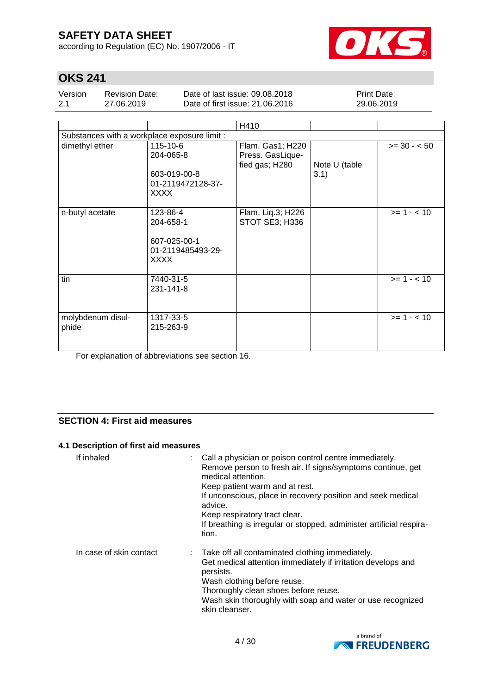according to Regulation (EC) No. 1907/2006 - IT



# **OKS 241**

| Version | <b>Revision Date:</b> | Date of last issue: 09.08.2018  | <b>Print Date:</b> |
|---------|-----------------------|---------------------------------|--------------------|
| 2.1     | 27.06.2019            | Date of first issue: 21.06.2016 | 29.06.2019         |

|                                              |                                                                           | H410                                                   |                       |               |  |  |  |  |
|----------------------------------------------|---------------------------------------------------------------------------|--------------------------------------------------------|-----------------------|---------------|--|--|--|--|
| Substances with a workplace exposure limit : |                                                                           |                                                        |                       |               |  |  |  |  |
| dimethyl ether                               | 115-10-6<br>204-065-8<br>603-019-00-8<br>01-2119472128-37-<br><b>XXXX</b> | Flam. Gas1; H220<br>Press. GasLique-<br>fied gas; H280 | Note U (table<br>3.1) | $>= 30 - 50$  |  |  |  |  |
| n-butyl acetate                              | 123-86-4<br>204-658-1<br>607-025-00-1<br>01-2119485493-29-<br><b>XXXX</b> | Flam. Liq.3; H226<br>STOT SE3; H336                    |                       | $>= 1 - < 10$ |  |  |  |  |
| tin                                          | 7440-31-5<br>231-141-8                                                    |                                                        |                       | $>= 1 - < 10$ |  |  |  |  |
| molybdenum disul-<br>phide                   | 1317-33-5<br>215-263-9                                                    |                                                        |                       | $>= 1 - < 10$ |  |  |  |  |

For explanation of abbreviations see section 16.

### **SECTION 4: First aid measures**

#### **4.1 Description of first aid measures**

| If inhaled              | Call a physician or poison control centre immediately.<br>Remove person to fresh air. If signs/symptoms continue, get<br>medical attention.<br>Keep patient warm and at rest.<br>If unconscious, place in recovery position and seek medical<br>advice.<br>Keep respiratory tract clear.<br>If breathing is irregular or stopped, administer artificial respira-<br>tion. |
|-------------------------|---------------------------------------------------------------------------------------------------------------------------------------------------------------------------------------------------------------------------------------------------------------------------------------------------------------------------------------------------------------------------|
| In case of skin contact | : Take off all contaminated clothing immediately.<br>Get medical attention immediately if irritation develops and<br>persists.<br>Wash clothing before reuse.<br>Thoroughly clean shoes before reuse.<br>Wash skin thoroughly with soap and water or use recognized<br>skin cleanser.                                                                                     |

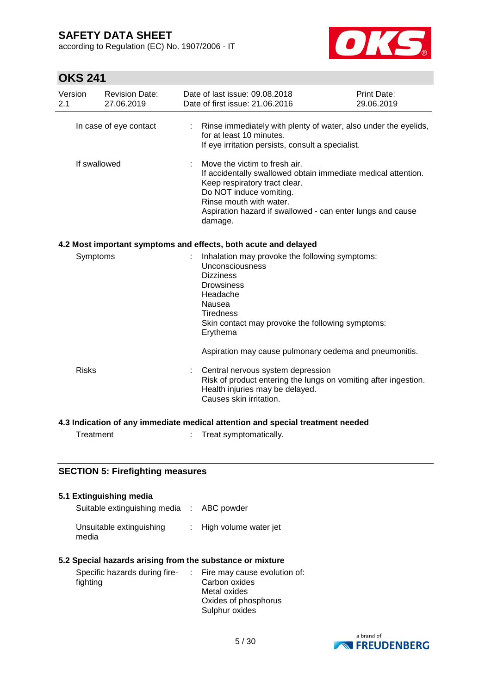according to Regulation (EC) No. 1907/2006 - IT



# **OKS 241**

| Version<br>2.1         | <b>Revision Date:</b><br>27.06.2019                                            | Date of last issue: 09.08.2018<br>Date of first issue: 21.06.2016                                                                                                                                                                                              | Print Date:<br>29.06.2019 |  |  |  |  |  |
|------------------------|--------------------------------------------------------------------------------|----------------------------------------------------------------------------------------------------------------------------------------------------------------------------------------------------------------------------------------------------------------|---------------------------|--|--|--|--|--|
| In case of eye contact |                                                                                | Rinse immediately with plenty of water, also under the eyelids,<br>for at least 10 minutes.<br>If eye irritation persists, consult a specialist.                                                                                                               |                           |  |  |  |  |  |
|                        | If swallowed                                                                   | Move the victim to fresh air.<br>If accidentally swallowed obtain immediate medical attention.<br>Keep respiratory tract clear.<br>Do NOT induce vomiting.<br>Rinse mouth with water.<br>Aspiration hazard if swallowed - can enter lungs and cause<br>damage. |                           |  |  |  |  |  |
|                        |                                                                                | 4.2 Most important symptoms and effects, both acute and delayed                                                                                                                                                                                                |                           |  |  |  |  |  |
| Symptoms               |                                                                                | Inhalation may provoke the following symptoms:<br>Unconsciousness<br><b>Dizziness</b><br><b>Drowsiness</b><br>Headache<br>Nausea<br><b>Tiredness</b><br>Skin contact may provoke the following symptoms:<br>Erythema                                           |                           |  |  |  |  |  |
|                        |                                                                                | Aspiration may cause pulmonary oedema and pneumonitis.                                                                                                                                                                                                         |                           |  |  |  |  |  |
| <b>Risks</b>           |                                                                                | Central nervous system depression<br>Risk of product entering the lungs on vomiting after ingestion.<br>Health injuries may be delayed.<br>Causes skin irritation.                                                                                             |                           |  |  |  |  |  |
|                        | 4.3 Indication of any immediate medical attention and special treatment needed |                                                                                                                                                                                                                                                                |                           |  |  |  |  |  |
| Treatment              |                                                                                | Treat symptomatically.                                                                                                                                                                                                                                         |                           |  |  |  |  |  |

### **SECTION 5: Firefighting measures**

| 5.1 Extinguishing media                                   |                                |
|-----------------------------------------------------------|--------------------------------|
| Suitable extinguishing media : ABC powder                 |                                |
| Unsuitable extinguishing<br>media                         | : High volume water jet        |
| 5.2 Special hazards arising from the substance or mixture |                                |
| Specific hazards during fire-                             | : Fire may cause evolution of: |
| fighting                                                  | Carbon oxides                  |
|                                                           | Metal oxides                   |
|                                                           | Oxides of phosphorus           |
|                                                           | Sulphur oxides                 |

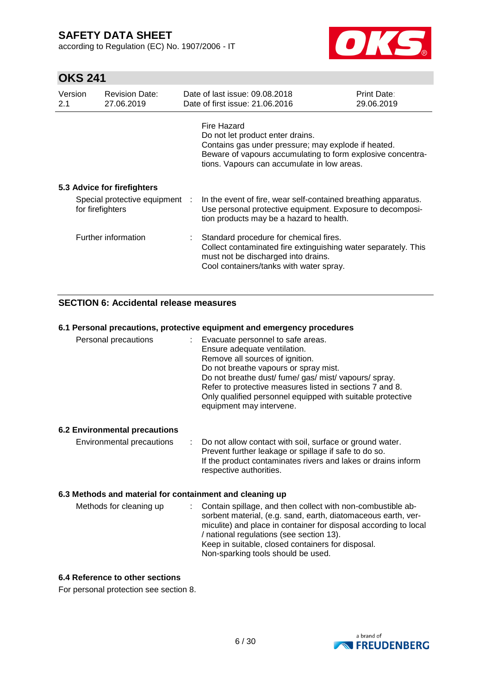according to Regulation (EC) No. 1907/2006 - IT



# **OKS 241**

| Version<br>2.1 | <b>Revision Date:</b><br>27.06.2019                | Date of last issue: 09.08.2018<br>Date of first issue: 21.06.2016                                                                                                                                                    | <b>Print Date:</b><br>29.06.2019 |
|----------------|----------------------------------------------------|----------------------------------------------------------------------------------------------------------------------------------------------------------------------------------------------------------------------|----------------------------------|
|                |                                                    | Fire Hazard<br>Do not let product enter drains.<br>Contains gas under pressure; may explode if heated.<br>Beware of vapours accumulating to form explosive concentra-<br>tions. Vapours can accumulate in low areas. |                                  |
|                | 5.3 Advice for firefighters                        |                                                                                                                                                                                                                      |                                  |
|                | Special protective equipment :<br>for firefighters | In the event of fire, wear self-contained breathing apparatus.<br>Use personal protective equipment. Exposure to decomposi-<br>tion products may be a hazard to health.                                              |                                  |
|                | Further information                                | Standard procedure for chemical fires.<br>Collect contaminated fire extinguishing water separately. This<br>must not be discharged into drains.<br>Cool containers/tanks with water spray.                           |                                  |

### **SECTION 6: Accidental release measures**

#### **6.1 Personal precautions, protective equipment and emergency procedures**

| Personal precautions                 | : Evacuate personnel to safe areas.<br>Ensure adequate ventilation.<br>Remove all sources of ignition.<br>Do not breathe vapours or spray mist.<br>Do not breathe dust/fume/gas/mist/vapours/spray.<br>Refer to protective measures listed in sections 7 and 8.<br>Only qualified personnel equipped with suitable protective<br>equipment may intervene. |
|--------------------------------------|-----------------------------------------------------------------------------------------------------------------------------------------------------------------------------------------------------------------------------------------------------------------------------------------------------------------------------------------------------------|
| <b>6.2 Environmental precautions</b> |                                                                                                                                                                                                                                                                                                                                                           |
| Environmental precautions            | : Do not allow contact with soil, surface or ground water.<br>Prevent further leakage or spillage if safe to do so.<br>If the product contaminates rivers and lakes or drains inform<br>respective authorities.                                                                                                                                           |

### **6.3 Methods and material for containment and cleaning up**

| Methods for cleaning up | : Contain spillage, and then collect with non-combustible ab-<br>sorbent material, (e.g. sand, earth, diatomaceous earth, ver-<br>miculite) and place in container for disposal according to local<br>/ national regulations (see section 13).<br>Keep in suitable, closed containers for disposal.<br>Non-sparking tools should be used. |
|-------------------------|-------------------------------------------------------------------------------------------------------------------------------------------------------------------------------------------------------------------------------------------------------------------------------------------------------------------------------------------|
|                         |                                                                                                                                                                                                                                                                                                                                           |

### **6.4 Reference to other sections**

For personal protection see section 8.

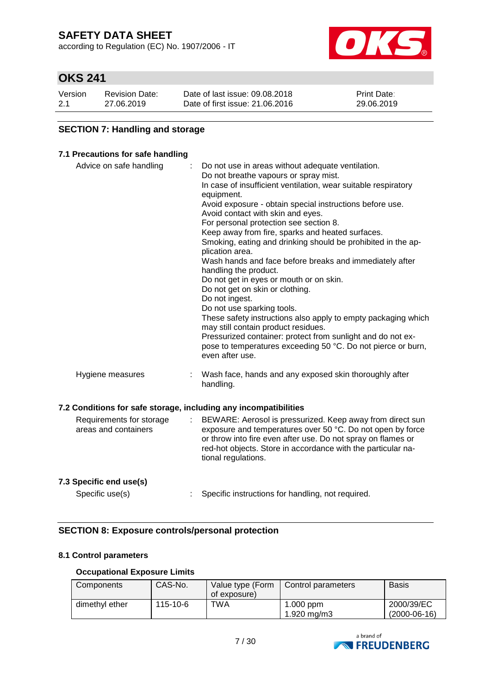according to Regulation (EC) No. 1907/2006 - IT



# **OKS 241**

| Version | <b>Revision Date:</b> | Date of last issue: 09.08.2018  | <b>Print Date:</b> |
|---------|-----------------------|---------------------------------|--------------------|
| 2.1     | 27.06.2019            | Date of first issue: 21,06,2016 | 29.06.2019         |

### **SECTION 7: Handling and storage**

### **7.1 Precautions for safe handling**

| Advice on safe handling                                          | Do not use in areas without adequate ventilation.              |
|------------------------------------------------------------------|----------------------------------------------------------------|
|                                                                  | Do not breathe vapours or spray mist.                          |
|                                                                  | In case of insufficient ventilation, wear suitable respiratory |
|                                                                  | equipment.                                                     |
|                                                                  | Avoid exposure - obtain special instructions before use.       |
|                                                                  | Avoid contact with skin and eyes.                              |
|                                                                  | For personal protection see section 8.                         |
|                                                                  | Keep away from fire, sparks and heated surfaces.               |
|                                                                  | Smoking, eating and drinking should be prohibited in the ap-   |
|                                                                  | plication area.                                                |
|                                                                  | Wash hands and face before breaks and immediately after        |
|                                                                  | handling the product.                                          |
|                                                                  | Do not get in eyes or mouth or on skin.                        |
|                                                                  | Do not get on skin or clothing.                                |
|                                                                  | Do not ingest.                                                 |
|                                                                  | Do not use sparking tools.                                     |
|                                                                  | These safety instructions also apply to empty packaging which  |
|                                                                  | may still contain product residues.                            |
|                                                                  | Pressurized container: protect from sunlight and do not ex-    |
|                                                                  | pose to temperatures exceeding 50 °C. Do not pierce or burn,   |
|                                                                  | even after use.                                                |
|                                                                  |                                                                |
| Hygiene measures<br>÷                                            | Wash face, hands and any exposed skin thoroughly after         |
|                                                                  | handling.                                                      |
|                                                                  |                                                                |
| 7.2 Conditions for safe storage, including any incompatibilities |                                                                |
|                                                                  |                                                                |
| Requirements for storage<br>÷.                                   | BEWARE: Aerosol is pressurized. Keep away from direct sun      |
| areas and containers                                             | exposure and temperatures over 50 °C. Do not open by force     |
|                                                                  | or throw into fire even after use. Do not spray on flames or   |
|                                                                  | red-hot objects. Store in accordance with the particular na-   |
|                                                                  | tional regulations.                                            |
|                                                                  |                                                                |
| 7.3 Specific end use(s)                                          |                                                                |

Specific use(s) : Specific instructions for handling, not required.

### **SECTION 8: Exposure controls/personal protection**

### **8.1 Control parameters**

#### **Occupational Exposure Limits**

| Components     | CAS-No.  | Value type (Form<br>of exposure) | Control parameters         | Basis                        |
|----------------|----------|----------------------------------|----------------------------|------------------------------|
| dimethyl ether | 115-10-6 | TWA                              | $1.000$ ppm<br>1.920 mg/m3 | 2000/39/EC<br>$(2000-06-16)$ |

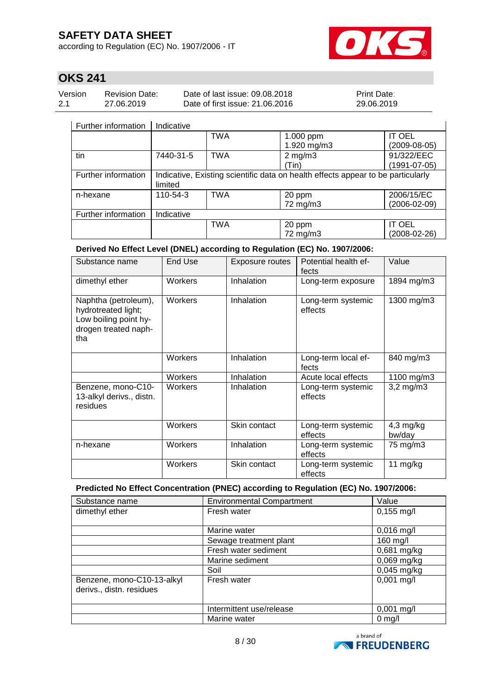according to Regulation (EC) No. 1907/2006 - IT



# **OKS 241**

| Version | Revision Date: | Date of last issue: 09.08.2018  | <b>Print Date:</b> |
|---------|----------------|---------------------------------|--------------------|
| 2.1     | 27.06.2019     | Date of first issue: 21,06,2016 | 29.06.2019         |

#### Further information Indicative

| Further information | Indicative                                                                       |            |              |                |
|---------------------|----------------------------------------------------------------------------------|------------|--------------|----------------|
|                     |                                                                                  | <b>TWA</b> | 1.000 ppm    | <b>IT OEL</b>  |
|                     |                                                                                  |            | 1.920 mg/m3  | $(2009-08-05)$ |
| tin                 | 7440-31-5                                                                        | <b>TWA</b> | $2$ mg/m $3$ | 91/322/EEC     |
|                     |                                                                                  |            | (Tin)        | (1991-07-05)   |
| Further information | Indicative, Existing scientific data on health effects appear to be particularly |            |              |                |
|                     | limited                                                                          |            |              |                |
| n-hexane            | 110-54-3                                                                         | <b>TWA</b> | 20 ppm       | 2006/15/EC     |
|                     |                                                                                  |            | 72 mg/m3     | (2006-02-09)   |
| Further information | Indicative                                                                       |            |              |                |
|                     |                                                                                  | <b>TWA</b> | 20 ppm       | <b>IT OEL</b>  |
|                     |                                                                                  |            | 72 mg/m3     | (2008-02-26)   |

**Derived No Effect Level (DNEL) according to Regulation (EC) No. 1907/2006:**

| Substance name                                                                                      | End Use | Exposure routes | Potential health ef-<br>fects | Value                 |
|-----------------------------------------------------------------------------------------------------|---------|-----------------|-------------------------------|-----------------------|
| dimethyl ether                                                                                      | Workers | Inhalation      | Long-term exposure            | 1894 mg/m3            |
| Naphtha (petroleum),<br>hydrotreated light;<br>Low boiling point hy-<br>drogen treated naph-<br>tha | Workers | Inhalation      | Long-term systemic<br>effects | 1300 mg/m3            |
|                                                                                                     | Workers | Inhalation      | Long-term local ef-<br>fects  | 840 mg/m3             |
|                                                                                                     | Workers | Inhalation      | Acute local effects           | 1100 mg/m3            |
| Benzene, mono-C10-<br>13-alkyl derivs., distn.<br>residues                                          | Workers | Inhalation      | Long-term systemic<br>effects | $3,2$ mg/m $3$        |
|                                                                                                     | Workers | Skin contact    | Long-term systemic<br>effects | $4,3$ mg/kg<br>bw/day |
| n-hexane                                                                                            | Workers | Inhalation      | Long-term systemic<br>effects | 75 mg/m3              |
|                                                                                                     | Workers | Skin contact    | Long-term systemic<br>effects | 11 mg/kg              |

### **Predicted No Effect Concentration (PNEC) according to Regulation (EC) No. 1907/2006:**

| Substance name                                         | <b>Environmental Compartment</b> | Value            |
|--------------------------------------------------------|----------------------------------|------------------|
| dimethyl ether                                         | Fresh water                      | $0,155$ mg/l     |
|                                                        |                                  |                  |
|                                                        | Marine water                     | $0,016$ mg/l     |
|                                                        | Sewage treatment plant           | 160 mg/l         |
|                                                        | Fresh water sediment             | 0,681 mg/kg      |
|                                                        | Marine sediment                  | $0,069$ mg/kg    |
|                                                        | Soil                             | $0,045$ mg/kg    |
| Benzene, mono-C10-13-alkyl<br>derivs., distn. residues | Fresh water                      | $0,001$ mg/l     |
|                                                        | Intermittent use/release         | $0,001$ mg/l     |
|                                                        | Marine water                     | $0 \text{ mg/l}$ |

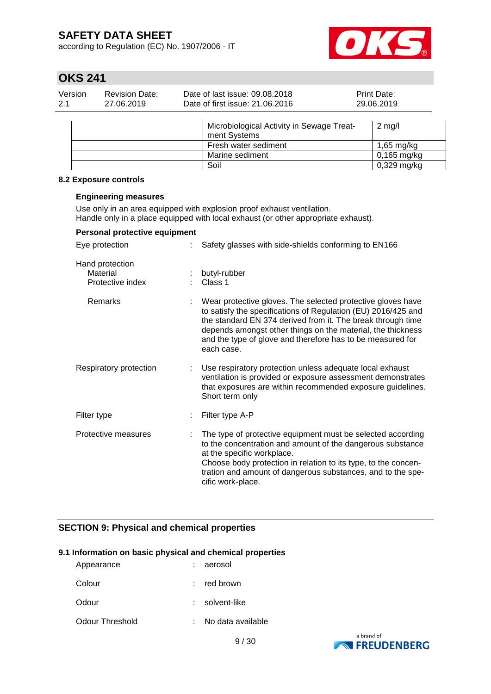according to Regulation (EC) No. 1907/2006 - IT



# **OKS 241**

| Version | <b>Revision Date:</b> | Date of last issue: 09.08.2018  | <b>Print Date:</b> |
|---------|-----------------------|---------------------------------|--------------------|
| 2.1     | 27.06.2019            | Date of first issue: 21,06,2016 | 29.06.2019         |
|         |                       |                                 |                    |

| Microbiological Activity in Sewage Treat-<br>ment Systems | $2 \text{ m}$ g/l    |
|-----------------------------------------------------------|----------------------|
| Fresh water sediment                                      | $1,65 \text{ mg/kg}$ |
| Marine sediment                                           | $0,165$ mg/kg        |
| Soil                                                      | $0,329$ mg/kg        |

#### **8.2 Exposure controls**

#### **Engineering measures**

Use only in an area equipped with explosion proof exhaust ventilation. Handle only in a place equipped with local exhaust (or other appropriate exhaust).

### **Personal protective equipment**

| Eye protection                                  | Safety glasses with side-shields conforming to EN166                                                                                                                                                                                                                                                                                   |
|-------------------------------------------------|----------------------------------------------------------------------------------------------------------------------------------------------------------------------------------------------------------------------------------------------------------------------------------------------------------------------------------------|
| Hand protection<br>Material<br>Protective index | butyl-rubber<br>Class 1                                                                                                                                                                                                                                                                                                                |
| Remarks                                         | Wear protective gloves. The selected protective gloves have<br>to satisfy the specifications of Regulation (EU) 2016/425 and<br>the standard EN 374 derived from it. The break through time<br>depends amongst other things on the material, the thickness<br>and the type of glove and therefore has to be measured for<br>each case. |
| Respiratory protection                          | Use respiratory protection unless adequate local exhaust<br>ventilation is provided or exposure assessment demonstrates<br>that exposures are within recommended exposure guidelines.<br>Short term only                                                                                                                               |
| Filter type                                     | Filter type A-P                                                                                                                                                                                                                                                                                                                        |
| Protective measures                             | The type of protective equipment must be selected according<br>to the concentration and amount of the dangerous substance<br>at the specific workplace.<br>Choose body protection in relation to its type, to the concen-<br>tration and amount of dangerous substances, and to the spe-<br>cific work-place.                          |

### **SECTION 9: Physical and chemical properties**

#### **9.1 Information on basic physical and chemical properties**

| Appearance      | aerosol           |
|-----------------|-------------------|
| Colour          | red brown         |
| Odour           | solvent-like      |
| Odour Threshold | No data available |

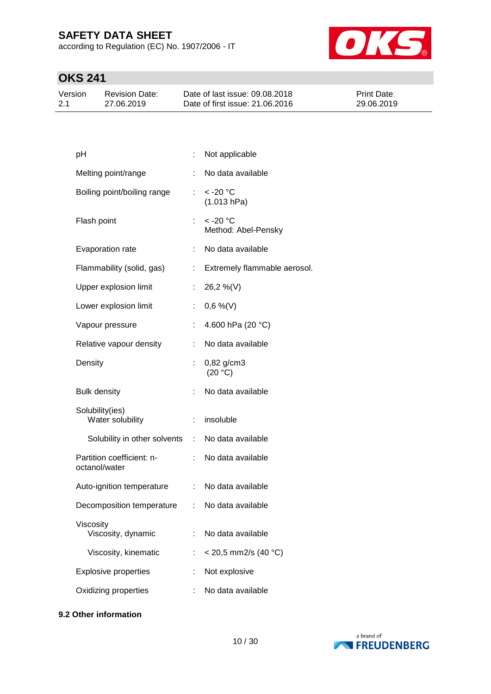according to Regulation (EC) No. 1907/2006 - IT



# **OKS 241**

| Version | <b>Revision Date:</b> | Date of last issue: 09.08.2018  | <b>Print Date:</b> |
|---------|-----------------------|---------------------------------|--------------------|
| 2.1     | 27.06.2019            | Date of first issue: 21,06,2016 | 29.06.2019         |

|                                 | Not applicable                              |
|---------------------------------|---------------------------------------------|
| ÷.                              | No data available                           |
| ÷.                              | < -20 °C<br>(1.013 hPa)                     |
| t.                              | $<$ -20 $^{\circ}$ C<br>Method: Abel-Pensky |
| ÷.                              | No data available                           |
|                                 | Extremely flammable aerosol.                |
| ÷.                              | 26,2 %(V)                                   |
| ÷.                              | $0,6\%$ (V)                                 |
| t.                              | 4.600 hPa (20 °C)                           |
| t.                              | No data available                           |
|                                 | $0,82$ g/cm3<br>(20 °C)                     |
| t.                              | No data available                           |
| t.                              | insoluble                                   |
| Solubility in other solvents    | : No data available                         |
| t.                              | No data available                           |
|                                 | : No data available                         |
| Decomposition temperature<br>÷. | No data available                           |
| ÷.                              | No data available                           |
| ÷                               | $<$ 20,5 mm2/s (40 °C)                      |
| ÷                               | Not explosive                               |
|                                 |                                             |
|                                 |                                             |

### **9.2 Other information**

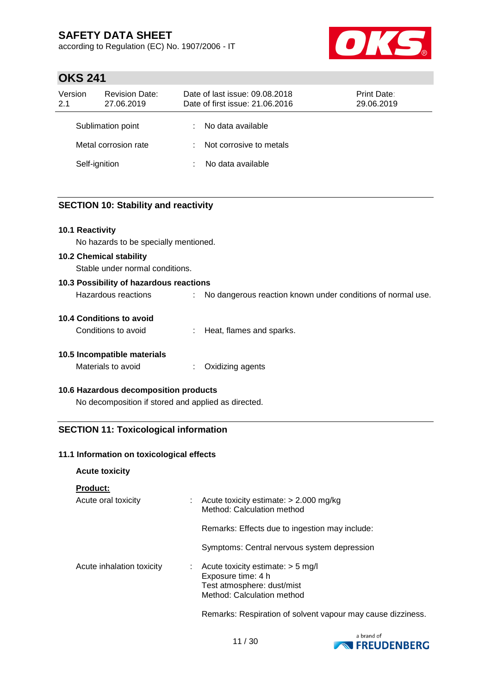according to Regulation (EC) No. 1907/2006 - IT



### **OKS 241**

| Version<br>2.1 | <b>Revision Date:</b><br>27.06.2019 |    | Date of last issue: 09.08.2018<br>Date of first issue: 21.06.2016 | Print Date:<br>29.06.2019 |
|----------------|-------------------------------------|----|-------------------------------------------------------------------|---------------------------|
|                | Sublimation point                   | ÷  | No data available                                                 |                           |
|                | Metal corrosion rate                | t. | Not corrosive to metals                                           |                           |
| Self-ignition  |                                     |    | No data available                                                 |                           |

### **SECTION 10: Stability and reactivity**

### **10.1 Reactivity**

No hazards to be specially mentioned.

#### **10.2 Chemical stability**

Stable under normal conditions.

# **10.3 Possibility of hazardous reactions**

| Hazardous reactions |  | No dangerous reaction known under conditions of normal use. |
|---------------------|--|-------------------------------------------------------------|
|---------------------|--|-------------------------------------------------------------|

#### **10.4 Conditions to avoid**

| Conditions to avoid |  | Heat, flames and sparks. |
|---------------------|--|--------------------------|
|---------------------|--|--------------------------|

### **10.5 Incompatible materials**

#### **10.6 Hazardous decomposition products**

No decomposition if stored and applied as directed.

### **SECTION 11: Toxicological information**

#### **11.1 Information on toxicological effects**

**Acute toxicity**

#### **Product:**

| Acute oral toxicity       |  | : Acute toxicity estimate: $> 2.000$ mg/kg<br>Method: Calculation method                                                |
|---------------------------|--|-------------------------------------------------------------------------------------------------------------------------|
|                           |  | Remarks: Effects due to ingestion may include:                                                                          |
|                           |  | Symptoms: Central nervous system depression                                                                             |
| Acute inhalation toxicity |  | : Acute toxicity estimate: $> 5$ mg/l<br>Exposure time: 4 h<br>Test atmosphere: dust/mist<br>Method: Calculation method |
|                           |  | Desete Destatung est als den bestehende gegen der                                                                       |

Remarks: Respiration of solvent vapour may cause dizziness.

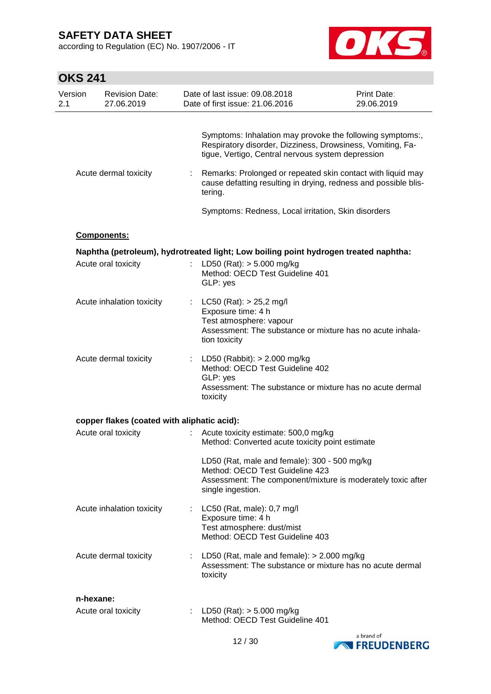according to Regulation (EC) No. 1907/2006 - IT



| <b>OKS 241</b> |                                             |   |                                                                                                                                                                                                                                             |                           |
|----------------|---------------------------------------------|---|---------------------------------------------------------------------------------------------------------------------------------------------------------------------------------------------------------------------------------------------|---------------------------|
| Version<br>2.1 | <b>Revision Date:</b><br>27.06.2019         |   | Date of last issue: 09.08.2018<br>Date of first issue: 21.06.2016                                                                                                                                                                           | Print Date:<br>29.06.2019 |
|                | Acute dermal toxicity                       |   | Symptoms: Inhalation may provoke the following symptoms:,<br>Respiratory disorder, Dizziness, Drowsiness, Vomiting, Fa-<br>tigue, Vertigo, Central nervous system depression<br>Remarks: Prolonged or repeated skin contact with liquid may |                           |
|                |                                             |   | cause defatting resulting in drying, redness and possible blis-<br>tering.<br>Symptoms: Redness, Local irritation, Skin disorders                                                                                                           |                           |
|                | Components:                                 |   |                                                                                                                                                                                                                                             |                           |
|                | Acute oral toxicity                         |   | Naphtha (petroleum), hydrotreated light; Low boiling point hydrogen treated naphtha:<br>LD50 (Rat): $> 5.000$ mg/kg<br>Method: OECD Test Guideline 401<br>GLP: yes                                                                          |                           |
|                | Acute inhalation toxicity                   |   | $LC50$ (Rat): $> 25.2$ mg/l<br>Exposure time: 4 h<br>Test atmosphere: vapour<br>Assessment: The substance or mixture has no acute inhala-<br>tion toxicity                                                                                  |                           |
|                | Acute dermal toxicity                       |   | : LD50 (Rabbit): $> 2.000$ mg/kg<br>Method: OECD Test Guideline 402<br>GLP: yes<br>Assessment: The substance or mixture has no acute dermal<br>toxicity                                                                                     |                           |
|                | copper flakes (coated with aliphatic acid): |   |                                                                                                                                                                                                                                             |                           |
|                | Acute oral toxicity                         |   | Acute toxicity estimate: 500,0 mg/kg<br>Method: Converted acute toxicity point estimate<br>LD50 (Rat, male and female): 300 - 500 mg/kg<br>Method: OECD Test Guideline 423                                                                  |                           |
|                |                                             |   | Assessment: The component/mixture is moderately toxic after<br>single ingestion.                                                                                                                                                            |                           |
|                | Acute inhalation toxicity                   |   | : LC50 (Rat, male): 0,7 mg/l<br>Exposure time: 4 h<br>Test atmosphere: dust/mist<br>Method: OECD Test Guideline 403                                                                                                                         |                           |
|                | Acute dermal toxicity                       |   | LD50 (Rat, male and female): > 2.000 mg/kg<br>Assessment: The substance or mixture has no acute dermal<br>toxicity                                                                                                                          |                           |
|                | n-hexane:                                   |   |                                                                                                                                                                                                                                             |                           |
|                | Acute oral toxicity                         | ÷ | LD50 (Rat): $> 5.000$ mg/kg<br>Method: OECD Test Guideline 401                                                                                                                                                                              |                           |

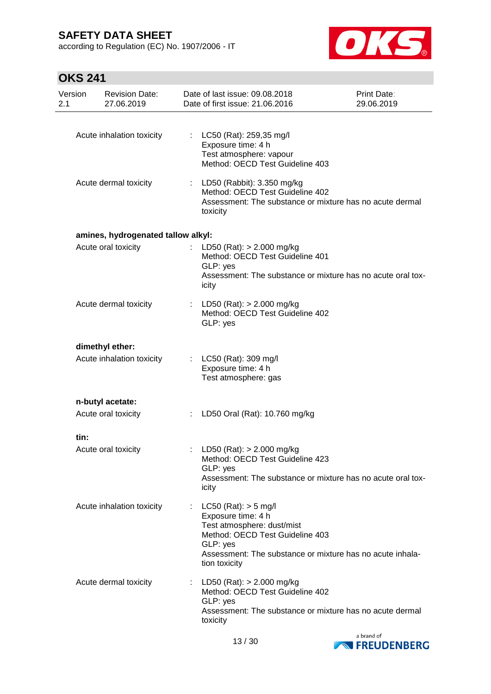according to Regulation (EC) No. 1907/2006 - IT



# **OKS 241**

| Version<br>2.1 | <b>Revision Date:</b><br>27.06.2019 |    | Date of last issue: 09.08.2018<br>Date of first issue: 21.06.2016                                                                                                                                         | Print Date:<br>29.06.2019 |
|----------------|-------------------------------------|----|-----------------------------------------------------------------------------------------------------------------------------------------------------------------------------------------------------------|---------------------------|
|                |                                     |    |                                                                                                                                                                                                           |                           |
|                | Acute inhalation toxicity           |    | : LC50 (Rat): 259,35 mg/l<br>Exposure time: 4 h<br>Test atmosphere: vapour<br>Method: OECD Test Guideline 403                                                                                             |                           |
|                | Acute dermal toxicity               |    | : LD50 (Rabbit): 3.350 mg/kg<br>Method: OECD Test Guideline 402<br>Assessment: The substance or mixture has no acute dermal<br>toxicity                                                                   |                           |
|                | amines, hydrogenated tallow alkyl:  |    |                                                                                                                                                                                                           |                           |
|                | Acute oral toxicity                 | ÷. | LD50 (Rat): > 2.000 mg/kg<br>Method: OECD Test Guideline 401<br>GLP: yes<br>Assessment: The substance or mixture has no acute oral tox-<br>icity                                                          |                           |
|                | Acute dermal toxicity               |    | : LD50 (Rat): $> 2.000$ mg/kg<br>Method: OECD Test Guideline 402<br>GLP: yes                                                                                                                              |                           |
|                | dimethyl ether:                     |    |                                                                                                                                                                                                           |                           |
|                | Acute inhalation toxicity           |    | : LC50 (Rat): 309 mg/l<br>Exposure time: 4 h<br>Test atmosphere: gas                                                                                                                                      |                           |
|                | n-butyl acetate:                    |    |                                                                                                                                                                                                           |                           |
|                | Acute oral toxicity                 | ÷. | LD50 Oral (Rat): 10.760 mg/kg                                                                                                                                                                             |                           |
| tin:           |                                     |    |                                                                                                                                                                                                           |                           |
|                | Acute oral toxicity                 |    | : LD50 (Rat): $> 2.000$ mg/kg<br>Method: OECD Test Guideline 423<br>GLP: yes<br>Assessment: The substance or mixture has no acute oral tox-<br>icity                                                      |                           |
|                | Acute inhalation toxicity           |    | : LC50 (Rat): $>$ 5 mg/l<br>Exposure time: 4 h<br>Test atmosphere: dust/mist<br>Method: OECD Test Guideline 403<br>GLP: yes<br>Assessment: The substance or mixture has no acute inhala-<br>tion toxicity |                           |
|                | Acute dermal toxicity               |    | LD50 (Rat): $> 2.000$ mg/kg<br>Method: OECD Test Guideline 402<br>GLP: yes<br>Assessment: The substance or mixture has no acute dermal<br>toxicity                                                        |                           |

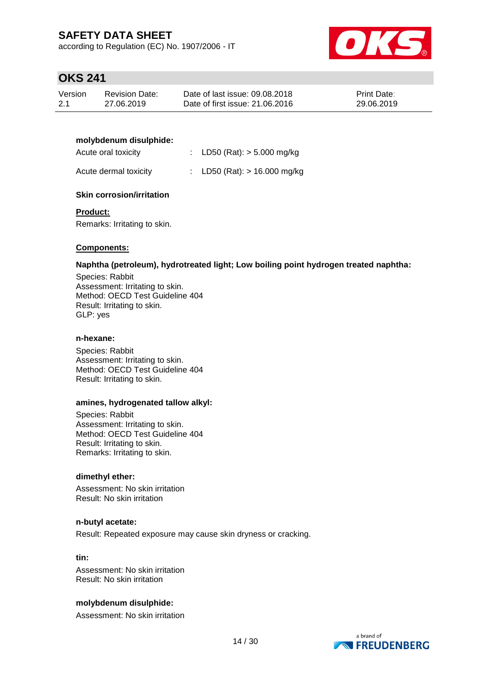according to Regulation (EC) No. 1907/2006 - IT



### **OKS 241**

| Version | Revision Date: | Date of last issue: 09.08.2018  | <b>Print Date:</b> |
|---------|----------------|---------------------------------|--------------------|
| -2.1    | 27.06.2019     | Date of first issue: 21,06,2016 | 29.06.2019         |

#### **molybdenum disulphide:**

| Acute oral toxicity   | : LD50 (Rat): $> 5.000$ mg/kg  |
|-----------------------|--------------------------------|
| Acute dermal toxicity | : LD50 (Rat): $> 16.000$ mg/kg |

### **Skin corrosion/irritation**

#### **Product:**

Remarks: Irritating to skin.

### **Components:**

#### **Naphtha (petroleum), hydrotreated light; Low boiling point hydrogen treated naphtha:**

Species: Rabbit Assessment: Irritating to skin. Method: OECD Test Guideline 404 Result: Irritating to skin. GLP: yes

#### **n-hexane:**

Species: Rabbit Assessment: Irritating to skin. Method: OECD Test Guideline 404 Result: Irritating to skin.

#### **amines, hydrogenated tallow alkyl:**

Species: Rabbit Assessment: Irritating to skin. Method: OECD Test Guideline 404 Result: Irritating to skin. Remarks: Irritating to skin.

#### **dimethyl ether:**

Assessment: No skin irritation Result: No skin irritation

#### **n-butyl acetate:**

Result: Repeated exposure may cause skin dryness or cracking.

**tin:**

Assessment: No skin irritation Result: No skin irritation

#### **molybdenum disulphide:**

Assessment: No skin irritation

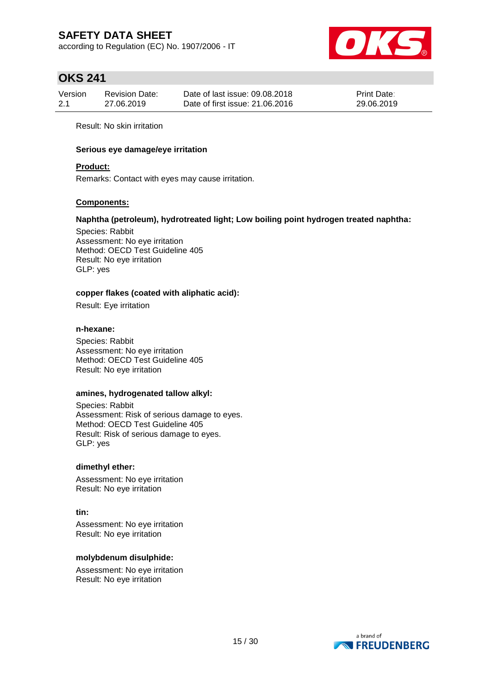according to Regulation (EC) No. 1907/2006 - IT



### **OKS 241**

| Version | <b>Revision Date:</b> | Date of last issue: 09.08.2018  | <b>Print Date:</b> |
|---------|-----------------------|---------------------------------|--------------------|
| 2.1     | 27.06.2019            | Date of first issue: 21,06,2016 | 29.06.2019         |

Result: No skin irritation

#### **Serious eye damage/eye irritation**

#### **Product:**

Remarks: Contact with eyes may cause irritation.

#### **Components:**

#### **Naphtha (petroleum), hydrotreated light; Low boiling point hydrogen treated naphtha:**

Species: Rabbit Assessment: No eye irritation Method: OECD Test Guideline 405 Result: No eye irritation GLP: yes

#### **copper flakes (coated with aliphatic acid):**

Result: Eye irritation

#### **n-hexane:**

Species: Rabbit Assessment: No eye irritation Method: OECD Test Guideline 405 Result: No eye irritation

#### **amines, hydrogenated tallow alkyl:**

Species: Rabbit Assessment: Risk of serious damage to eyes. Method: OECD Test Guideline 405 Result: Risk of serious damage to eyes. GLP: yes

#### **dimethyl ether:**

Assessment: No eye irritation Result: No eye irritation

**tin:** Assessment: No eye irritation Result: No eye irritation

#### **molybdenum disulphide:**

Assessment: No eye irritation Result: No eye irritation

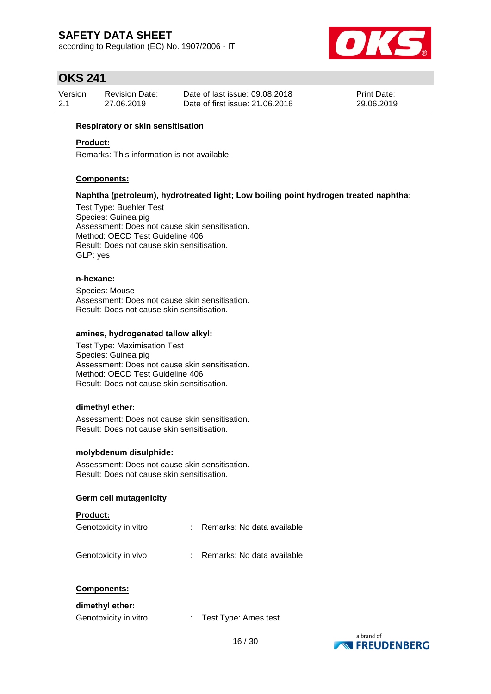according to Regulation (EC) No. 1907/2006 - IT



### **OKS 241**

| Version | <b>Revision Date:</b> | Date of last issue: 09.08.2018  | <b>Print Date:</b> |
|---------|-----------------------|---------------------------------|--------------------|
| 2.1     | 27.06.2019            | Date of first issue: 21,06,2016 | 29.06.2019         |

#### **Respiratory or skin sensitisation**

#### **Product:**

Remarks: This information is not available.

#### **Components:**

#### **Naphtha (petroleum), hydrotreated light; Low boiling point hydrogen treated naphtha:**

Test Type: Buehler Test Species: Guinea pig Assessment: Does not cause skin sensitisation. Method: OECD Test Guideline 406 Result: Does not cause skin sensitisation. GLP: yes

#### **n-hexane:**

Species: Mouse Assessment: Does not cause skin sensitisation. Result: Does not cause skin sensitisation.

#### **amines, hydrogenated tallow alkyl:**

Test Type: Maximisation Test Species: Guinea pig Assessment: Does not cause skin sensitisation. Method: OECD Test Guideline 406 Result: Does not cause skin sensitisation.

#### **dimethyl ether:**

Assessment: Does not cause skin sensitisation. Result: Does not cause skin sensitisation.

#### **molybdenum disulphide:**

Assessment: Does not cause skin sensitisation. Result: Does not cause skin sensitisation.

#### **Germ cell mutagenicity**

| <b>Product:</b>       |                            |
|-----------------------|----------------------------|
| Genotoxicity in vitro | Remarks: No data available |
| Genotoxicity in vivo  | Remarks: No data available |

#### **Components:**

#### **dimethyl ether:**

Genotoxicity in vitro : Test Type: Ames test

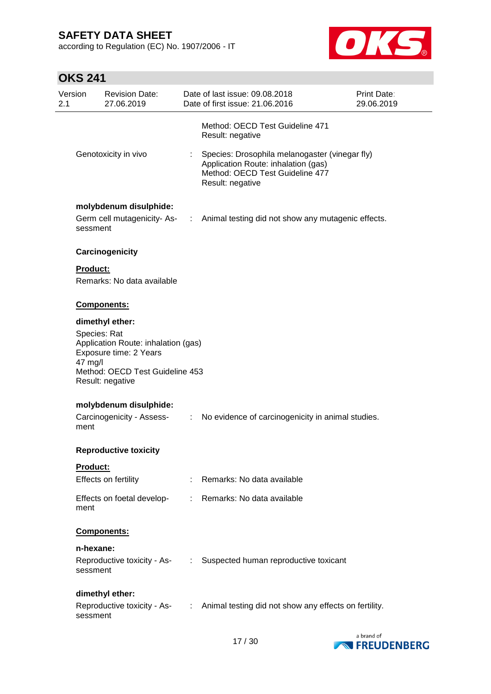according to Regulation (EC) No. 1907/2006 - IT



# **OKS 241**

| Version<br>2.1                                                                                                                                  |                      | <b>Revision Date:</b><br>27.06.2019                 |                       | Date of last issue: 09.08.2018<br>Date of first issue: 21.06.2016                                                                            | Print Date:<br>29.06.2019 |
|-------------------------------------------------------------------------------------------------------------------------------------------------|----------------------|-----------------------------------------------------|-----------------------|----------------------------------------------------------------------------------------------------------------------------------------------|---------------------------|
|                                                                                                                                                 |                      |                                                     |                       | Method: OECD Test Guideline 471<br>Result: negative                                                                                          |                           |
|                                                                                                                                                 | Genotoxicity in vivo |                                                     |                       | Species: Drosophila melanogaster (vinegar fly)<br>Application Route: inhalation (gas)<br>Method: OECD Test Guideline 477<br>Result: negative |                           |
|                                                                                                                                                 |                      | molybdenum disulphide:                              |                       |                                                                                                                                              |                           |
|                                                                                                                                                 | sessment             |                                                     |                       | Germ cell mutagenicity-As- : Animal testing did not show any mutagenic effects.                                                              |                           |
|                                                                                                                                                 |                      | Carcinogenicity                                     |                       |                                                                                                                                              |                           |
|                                                                                                                                                 | <b>Product:</b>      | Remarks: No data available                          |                       |                                                                                                                                              |                           |
|                                                                                                                                                 |                      | <b>Components:</b>                                  |                       |                                                                                                                                              |                           |
|                                                                                                                                                 |                      |                                                     |                       |                                                                                                                                              |                           |
|                                                                                                                                                 |                      | dimethyl ether:                                     |                       |                                                                                                                                              |                           |
| Species: Rat<br>Application Route: inhalation (gas)<br>Exposure time: 2 Years<br>47 mg/l<br>Method: OECD Test Guideline 453<br>Result: negative |                      |                                                     |                       |                                                                                                                                              |                           |
|                                                                                                                                                 |                      |                                                     |                       |                                                                                                                                              |                           |
|                                                                                                                                                 | ment                 | molybdenum disulphide:<br>Carcinogenicity - Assess- | $\mathbb{C}^{\times}$ | No evidence of carcinogenicity in animal studies.                                                                                            |                           |
|                                                                                                                                                 |                      | <b>Reproductive toxicity</b>                        |                       |                                                                                                                                              |                           |
|                                                                                                                                                 | Product:             |                                                     |                       |                                                                                                                                              |                           |
|                                                                                                                                                 |                      | Effects on fertility                                |                       | : Remarks: No data available                                                                                                                 |                           |
|                                                                                                                                                 | ment                 | Effects on foetal develop-                          |                       | : Remarks: No data available                                                                                                                 |                           |
|                                                                                                                                                 |                      | Components:                                         |                       |                                                                                                                                              |                           |
|                                                                                                                                                 | n-hexane:            |                                                     |                       |                                                                                                                                              |                           |
|                                                                                                                                                 | sessment             |                                                     |                       | Reproductive toxicity - As- : Suspected human reproductive toxicant                                                                          |                           |
|                                                                                                                                                 |                      | dimethyl ether:                                     |                       |                                                                                                                                              |                           |
|                                                                                                                                                 | sessment             |                                                     |                       | Reproductive toxicity - As- : Animal testing did not show any effects on fertility.                                                          |                           |

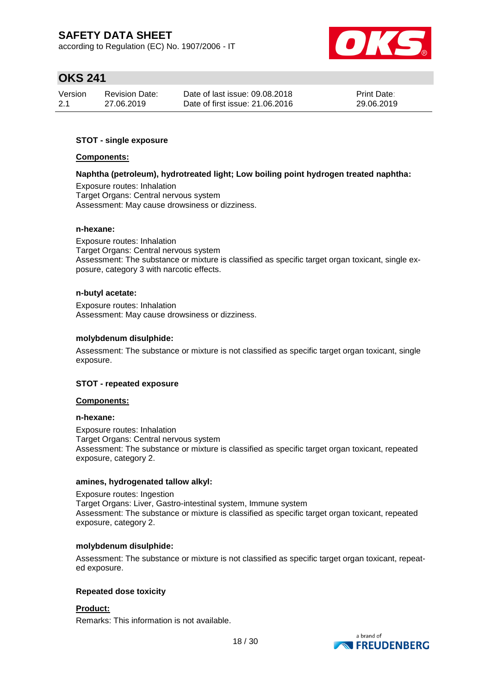according to Regulation (EC) No. 1907/2006 - IT



# **OKS 241**

| Version | <b>Revision Date:</b> | Date of last issue: 09.08.2018  | <b>Print Date:</b> |
|---------|-----------------------|---------------------------------|--------------------|
| 2.1     | 27.06.2019            | Date of first issue: 21,06,2016 | 29.06.2019         |

### **STOT - single exposure**

#### **Components:**

#### **Naphtha (petroleum), hydrotreated light; Low boiling point hydrogen treated naphtha:**

Exposure routes: Inhalation Target Organs: Central nervous system Assessment: May cause drowsiness or dizziness.

#### **n-hexane:**

Exposure routes: Inhalation Target Organs: Central nervous system Assessment: The substance or mixture is classified as specific target organ toxicant, single exposure, category 3 with narcotic effects.

#### **n-butyl acetate:**

Exposure routes: Inhalation Assessment: May cause drowsiness or dizziness.

#### **molybdenum disulphide:**

Assessment: The substance or mixture is not classified as specific target organ toxicant, single exposure.

#### **STOT - repeated exposure**

#### **Components:**

#### **n-hexane:**

Exposure routes: Inhalation Target Organs: Central nervous system Assessment: The substance or mixture is classified as specific target organ toxicant, repeated exposure, category 2.

#### **amines, hydrogenated tallow alkyl:**

Exposure routes: Ingestion Target Organs: Liver, Gastro-intestinal system, Immune system Assessment: The substance or mixture is classified as specific target organ toxicant, repeated exposure, category 2.

#### **molybdenum disulphide:**

Assessment: The substance or mixture is not classified as specific target organ toxicant, repeated exposure.

#### **Repeated dose toxicity**

### **Product:**

Remarks: This information is not available.

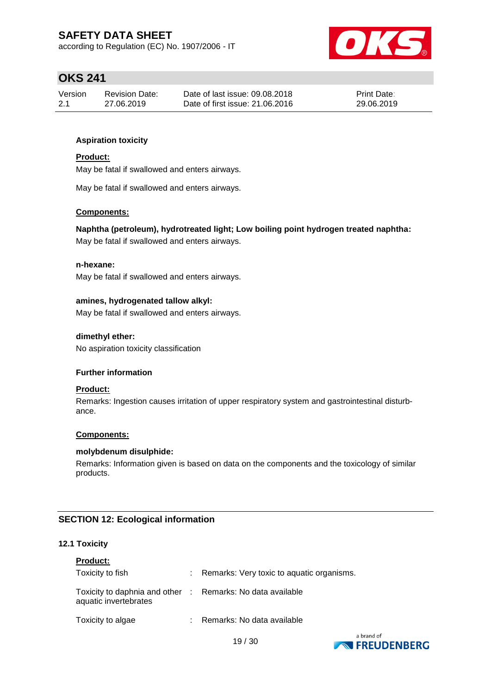according to Regulation (EC) No. 1907/2006 - IT



# **OKS 241**

| Version | <b>Revision Date:</b> | Date of last issue: 09.08.2018  | <b>Print Date:</b> |
|---------|-----------------------|---------------------------------|--------------------|
| 2.1     | 27.06.2019            | Date of first issue: 21,06,2016 | 29.06.2019         |

### **Aspiration toxicity**

#### **Product:**

May be fatal if swallowed and enters airways.

May be fatal if swallowed and enters airways.

#### **Components:**

**Naphtha (petroleum), hydrotreated light; Low boiling point hydrogen treated naphtha:**

May be fatal if swallowed and enters airways.

#### **n-hexane:**

May be fatal if swallowed and enters airways.

#### **amines, hydrogenated tallow alkyl:**

May be fatal if swallowed and enters airways.

#### **dimethyl ether:**

No aspiration toxicity classification

#### **Further information**

#### **Product:**

Remarks: Ingestion causes irritation of upper respiratory system and gastrointestinal disturbance.

#### **Components:**

#### **molybdenum disulphide:**

Remarks: Information given is based on data on the components and the toxicology of similar products.

### **SECTION 12: Ecological information**

#### **12.1 Toxicity**

| <b>Product:</b>                                                                     |                                           |
|-------------------------------------------------------------------------------------|-------------------------------------------|
| Toxicity to fish                                                                    | Remarks: Very toxic to aquatic organisms. |
| Toxicity to daphnia and other : Remarks: No data available<br>aquatic invertebrates |                                           |
| Toxicity to algae                                                                   | : Remarks: No data available              |

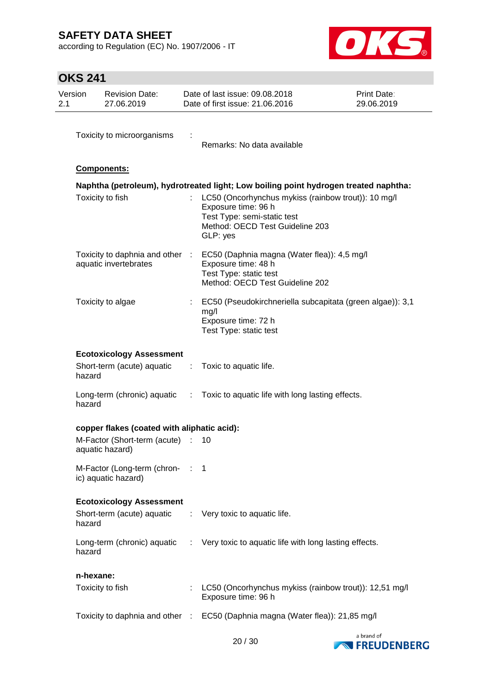according to Regulation (EC) No. 1907/2006 - IT



# **OKS 241**

| Version<br>2.1 |           | <b>Revision Date:</b><br>27.06.2019                           |             | Date of last issue: 09.08.2018<br>Date of first issue: 21.06.2016                                                                                                                                                                                | Print Date:<br>29.06.2019 |
|----------------|-----------|---------------------------------------------------------------|-------------|--------------------------------------------------------------------------------------------------------------------------------------------------------------------------------------------------------------------------------------------------|---------------------------|
|                |           | Toxicity to microorganisms                                    |             | Remarks: No data available                                                                                                                                                                                                                       |                           |
|                |           | Components:                                                   |             |                                                                                                                                                                                                                                                  |                           |
|                |           | Toxicity to fish                                              |             | Naphtha (petroleum), hydrotreated light; Low boiling point hydrogen treated naphtha:<br>LC50 (Oncorhynchus mykiss (rainbow trout)): 10 mg/l<br>Exposure time: 96 h<br>Test Type: semi-static test<br>Method: OECD Test Guideline 203<br>GLP: yes |                           |
|                |           | Toxicity to daphnia and other<br>aquatic invertebrates        | $\sim 10^6$ | EC50 (Daphnia magna (Water flea)): 4,5 mg/l<br>Exposure time: 48 h<br>Test Type: static test<br>Method: OECD Test Guideline 202                                                                                                                  |                           |
|                |           | Toxicity to algae                                             |             | EC50 (Pseudokirchneriella subcapitata (green algae)): 3,1<br>mg/l<br>Exposure time: 72 h<br>Test Type: static test                                                                                                                               |                           |
|                | hazard    | <b>Ecotoxicology Assessment</b><br>Short-term (acute) aquatic | ÷           | Toxic to aquatic life.                                                                                                                                                                                                                           |                           |
|                | hazard    | Long-term (chronic) aquatic :                                 |             | Toxic to aquatic life with long lasting effects.                                                                                                                                                                                                 |                           |
|                |           | copper flakes (coated with aliphatic acid):                   |             |                                                                                                                                                                                                                                                  |                           |
|                |           | M-Factor (Short-term (acute)<br>aquatic hazard)               |             | 10                                                                                                                                                                                                                                               |                           |
|                |           | M-Factor (Long-term (chron-: 1<br>ic) aquatic hazard)         |             |                                                                                                                                                                                                                                                  |                           |
|                | hazard    | <b>Ecotoxicology Assessment</b><br>Short-term (acute) aquatic |             | : Very toxic to aquatic life.                                                                                                                                                                                                                    |                           |
|                | hazard    |                                                               |             | Long-term (chronic) aquatic : Very toxic to aquatic life with long lasting effects.                                                                                                                                                              |                           |
|                | n-hexane: |                                                               |             |                                                                                                                                                                                                                                                  |                           |
|                |           | Toxicity to fish                                              |             | LC50 (Oncorhynchus mykiss (rainbow trout)): 12,51 mg/l<br>Exposure time: 96 h                                                                                                                                                                    |                           |
|                |           |                                                               |             | Toxicity to daphnia and other : EC50 (Daphnia magna (Water flea)): 21,85 mg/l                                                                                                                                                                    |                           |

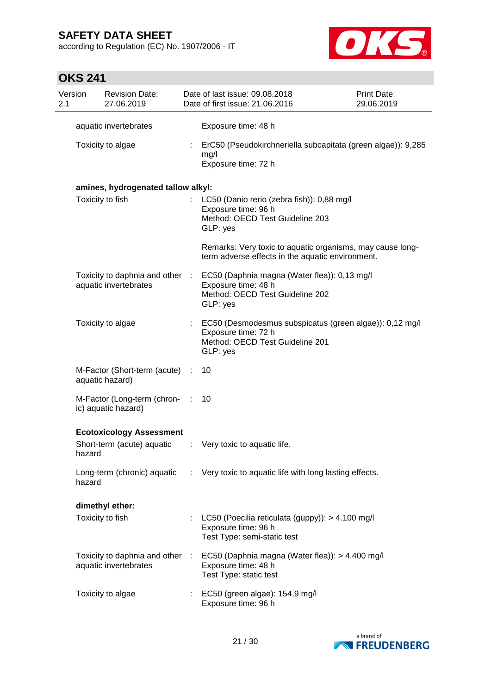according to Regulation (EC) No. 1907/2006 - IT



# **OKS 241**

| Version<br>2.1 |        | <b>Revision Date:</b><br>27.06.2019                      |           | Date of last issue: 09.08.2018<br>Date of first issue: 21.06.2016                                                                                  | <b>Print Date:</b><br>29.06.2019 |
|----------------|--------|----------------------------------------------------------|-----------|----------------------------------------------------------------------------------------------------------------------------------------------------|----------------------------------|
|                |        | aquatic invertebrates                                    |           | Exposure time: 48 h                                                                                                                                |                                  |
|                |        | Toxicity to algae                                        |           | ErC50 (Pseudokirchneriella subcapitata (green algae)): 9,285<br>mg/l<br>Exposure time: 72 h                                                        |                                  |
|                |        | amines, hydrogenated tallow alkyl:                       |           |                                                                                                                                                    |                                  |
|                |        | Toxicity to fish                                         |           | LC50 (Danio rerio (zebra fish)): 0,88 mg/l<br>Exposure time: 96 h<br>Method: OECD Test Guideline 203<br>GLP: yes                                   |                                  |
|                |        |                                                          |           | Remarks: Very toxic to aquatic organisms, may cause long-<br>term adverse effects in the aquatic environment.                                      |                                  |
|                |        | aquatic invertebrates                                    |           | Toxicity to daphnia and other : EC50 (Daphnia magna (Water flea)): 0,13 mg/l<br>Exposure time: 48 h<br>Method: OECD Test Guideline 202<br>GLP: yes |                                  |
|                |        | Toxicity to algae                                        |           | EC50 (Desmodesmus subspicatus (green algae)): 0,12 mg/l<br>Exposure time: 72 h<br>Method: OECD Test Guideline 201<br>GLP: yes                      |                                  |
|                |        | M-Factor (Short-term (acute) :<br>aquatic hazard)        |           | 10                                                                                                                                                 |                                  |
|                |        | M-Factor (Long-term (chron-<br>ic) aquatic hazard)       | $\sim$ 1. | 10                                                                                                                                                 |                                  |
|                |        | <b>Ecotoxicology Assessment</b>                          |           |                                                                                                                                                    |                                  |
|                | hazard | Short-term (acute) aquatic                               |           | : Very toxic to aquatic life.                                                                                                                      |                                  |
|                | hazard |                                                          |           | Long-term (chronic) aquatic : Very toxic to aquatic life with long lasting effects.                                                                |                                  |
|                |        | dimethyl ether:                                          |           |                                                                                                                                                    |                                  |
|                |        | Toxicity to fish                                         |           | : LC50 (Poecilia reticulata (guppy): $> 4.100$ mg/l<br>Exposure time: 96 h<br>Test Type: semi-static test                                          |                                  |
|                |        | Toxicity to daphnia and other :<br>aquatic invertebrates |           | EC50 (Daphnia magna (Water flea)): > 4.400 mg/l<br>Exposure time: 48 h<br>Test Type: static test                                                   |                                  |
|                |        | Toxicity to algae                                        |           | EC50 (green algae): 154,9 mg/l<br>Exposure time: 96 h                                                                                              |                                  |

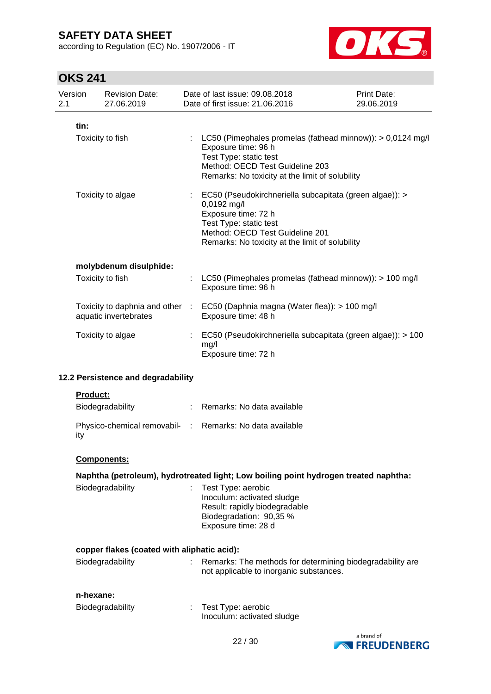according to Regulation (EC) No. 1907/2006 - IT



# **OKS 241**

| 2.1               | Version                                                  | <b>Revision Date:</b><br>27.06.2019                                                                                                                                                                           | Date of last issue: 09.08.2018<br>Date of first issue: 21.06.2016                                                                                                                                                           | Print Date:<br>29.06.2019 |
|-------------------|----------------------------------------------------------|---------------------------------------------------------------------------------------------------------------------------------------------------------------------------------------------------------------|-----------------------------------------------------------------------------------------------------------------------------------------------------------------------------------------------------------------------------|---------------------------|
|                   | tin:                                                     |                                                                                                                                                                                                               |                                                                                                                                                                                                                             |                           |
|                   |                                                          | Toxicity to fish                                                                                                                                                                                              | : LC50 (Pimephales promelas (fathead minnow)): > 0,0124 mg/l<br>Exposure time: 96 h<br>Test Type: static test<br>Method: OECD Test Guideline 203<br>Remarks: No toxicity at the limit of solubility                         |                           |
| Toxicity to algae |                                                          | EC50 (Pseudokirchneriella subcapitata (green algae)): ><br>0,0192 mg/l<br>Exposure time: 72 h<br>Test Type: static test<br>Method: OECD Test Guideline 201<br>Remarks: No toxicity at the limit of solubility |                                                                                                                                                                                                                             |                           |
|                   |                                                          | molybdenum disulphide:                                                                                                                                                                                        |                                                                                                                                                                                                                             |                           |
|                   |                                                          | Toxicity to fish                                                                                                                                                                                              | LC50 (Pimephales promelas (fathead minnow)): > 100 mg/l<br>Exposure time: 96 h                                                                                                                                              |                           |
|                   | Toxicity to daphnia and other :<br>aquatic invertebrates |                                                                                                                                                                                                               | EC50 (Daphnia magna (Water flea)): > 100 mg/l<br>Exposure time: 48 h                                                                                                                                                        |                           |
| Toxicity to algae |                                                          | EC50 (Pseudokirchneriella subcapitata (green algae)): > 100<br>mg/l<br>Exposure time: 72 h                                                                                                                    |                                                                                                                                                                                                                             |                           |
|                   |                                                          | 12.2 Persistence and degradability                                                                                                                                                                            |                                                                                                                                                                                                                             |                           |
|                   | <b>Product:</b>                                          |                                                                                                                                                                                                               |                                                                                                                                                                                                                             |                           |
|                   |                                                          | Biodegradability                                                                                                                                                                                              | Remarks: No data available                                                                                                                                                                                                  |                           |
|                   | ity                                                      | Physico-chemical removabil- :                                                                                                                                                                                 | Remarks: No data available                                                                                                                                                                                                  |                           |
|                   |                                                          | Components:                                                                                                                                                                                                   |                                                                                                                                                                                                                             |                           |
|                   |                                                          | Biodegradability                                                                                                                                                                                              | Naphtha (petroleum), hydrotreated light; Low boiling point hydrogen treated naphtha:<br>Test Type: aerobic<br>Inoculum: activated sludge<br>Result: rapidly biodegradable<br>Biodegradation: 90,35 %<br>Exposure time: 28 d |                           |

### **copper flakes (coated with aliphatic acid):** Biodegradability : Remarks: The methods for determining biodegradability are not applicable to inorganic substances.

### **n-hexane:**

| Biodegradability | Test Type: aerobic         |
|------------------|----------------------------|
|                  | Inoculum: activated sludge |

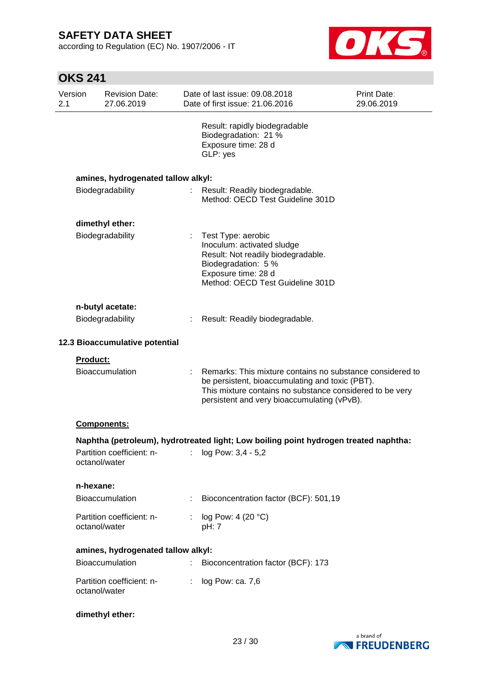according to Regulation (EC) No. 1907/2006 - IT



|                 | <b>OKS 241</b>                             |    |                                                                                                                                                                                                                         |                           |  |  |  |
|-----------------|--------------------------------------------|----|-------------------------------------------------------------------------------------------------------------------------------------------------------------------------------------------------------------------------|---------------------------|--|--|--|
| Version<br>2.1  | <b>Revision Date:</b><br>27.06.2019        |    | Date of last issue: 09.08.2018<br>Date of first issue: 21.06.2016                                                                                                                                                       | Print Date:<br>29.06.2019 |  |  |  |
|                 |                                            |    | Result: rapidly biodegradable<br>Biodegradation: 21 %<br>Exposure time: 28 d<br>GLP: yes                                                                                                                                |                           |  |  |  |
|                 | amines, hydrogenated tallow alkyl:         |    |                                                                                                                                                                                                                         |                           |  |  |  |
|                 | Biodegradability                           | t. | Result: Readily biodegradable.<br>Method: OECD Test Guideline 301D                                                                                                                                                      |                           |  |  |  |
|                 | dimethyl ether:                            |    |                                                                                                                                                                                                                         |                           |  |  |  |
|                 | Biodegradability                           |    | Test Type: aerobic<br>Inoculum: activated sludge<br>Result: Not readily biodegradable.<br>Biodegradation: 5 %<br>Exposure time: 28 d<br>Method: OECD Test Guideline 301D                                                |                           |  |  |  |
|                 | n-butyl acetate:                           |    |                                                                                                                                                                                                                         |                           |  |  |  |
|                 | Biodegradability                           | ÷  | Result: Readily biodegradable.                                                                                                                                                                                          |                           |  |  |  |
|                 | 12.3 Bioaccumulative potential             |    |                                                                                                                                                                                                                         |                           |  |  |  |
| <b>Product:</b> | <b>Bioaccumulation</b>                     |    | Remarks: This mixture contains no substance considered to<br>be persistent, bioaccumulating and toxic (PBT).<br>This mixture contains no substance considered to be very<br>persistent and very bioaccumulating (vPvB). |                           |  |  |  |
|                 | <b>Components:</b>                         |    |                                                                                                                                                                                                                         |                           |  |  |  |
|                 |                                            |    | Naphtha (petroleum), hydrotreated light; Low boiling point hydrogen treated naphtha:                                                                                                                                    |                           |  |  |  |
|                 | Partition coefficient: n-<br>octanol/water | t. | log Pow: 3,4 - 5,2                                                                                                                                                                                                      |                           |  |  |  |
| n-hexane:       |                                            |    |                                                                                                                                                                                                                         |                           |  |  |  |
|                 | <b>Bioaccumulation</b>                     |    | Bioconcentration factor (BCF): 501,19                                                                                                                                                                                   |                           |  |  |  |
|                 | Partition coefficient: n-<br>octanol/water |    | log Pow: 4 (20 °C)<br>pH: 7                                                                                                                                                                                             |                           |  |  |  |
|                 | amines, hydrogenated tallow alkyl:         |    |                                                                                                                                                                                                                         |                           |  |  |  |
|                 | Bioaccumulation                            |    | Bioconcentration factor (BCF): 173                                                                                                                                                                                      |                           |  |  |  |
|                 | Partition coefficient: n-<br>octanol/water |    | log Pow: ca. 7,6                                                                                                                                                                                                        |                           |  |  |  |
|                 | dimethyl ether:                            |    |                                                                                                                                                                                                                         |                           |  |  |  |

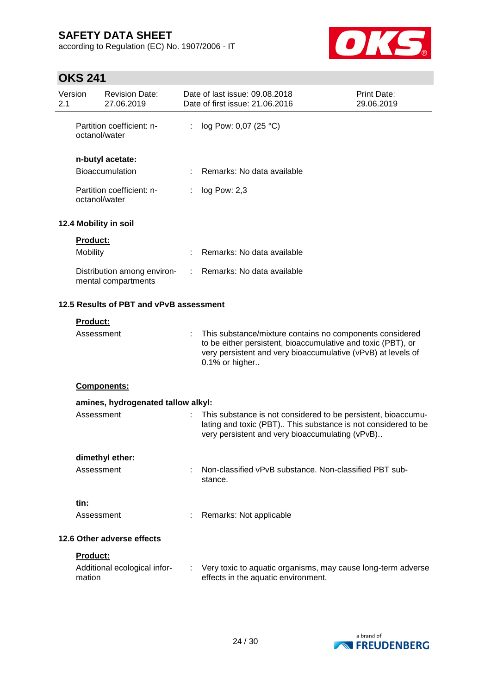according to Regulation (EC) No. 1907/2006 - IT



# **OKS 241**

| Version<br>2.1                          |                                            | <b>Revision Date:</b><br>27.06.2019                |    | Date of last issue: 09.08.2018<br>Date of first issue: 21.06.2016                                                                                                                                          | <b>Print Date:</b><br>29.06.2019 |
|-----------------------------------------|--------------------------------------------|----------------------------------------------------|----|------------------------------------------------------------------------------------------------------------------------------------------------------------------------------------------------------------|----------------------------------|
|                                         | octanol/water                              | Partition coefficient: n-                          | ÷. | log Pow: 0,07 (25 °C)                                                                                                                                                                                      |                                  |
|                                         |                                            | n-butyl acetate:                                   |    |                                                                                                                                                                                                            |                                  |
|                                         |                                            | Bioaccumulation                                    |    | Remarks: No data available                                                                                                                                                                                 |                                  |
|                                         | Partition coefficient: n-<br>octanol/water |                                                    |    | log Pow: 2,3                                                                                                                                                                                               |                                  |
|                                         |                                            | 12.4 Mobility in soil                              |    |                                                                                                                                                                                                            |                                  |
|                                         | <b>Product:</b>                            |                                                    |    |                                                                                                                                                                                                            |                                  |
|                                         | Mobility                                   |                                                    |    | Remarks: No data available                                                                                                                                                                                 |                                  |
|                                         |                                            | Distribution among environ-<br>mental compartments | ÷. | Remarks: No data available                                                                                                                                                                                 |                                  |
| 12.5 Results of PBT and vPvB assessment |                                            |                                                    |    |                                                                                                                                                                                                            |                                  |
|                                         | <b>Product:</b>                            |                                                    |    |                                                                                                                                                                                                            |                                  |
|                                         | Assessment                                 |                                                    |    | This substance/mixture contains no components considered<br>to be either persistent, bioaccumulative and toxic (PBT), or<br>very persistent and very bioaccumulative (vPvB) at levels of<br>0.1% or higher |                                  |
|                                         |                                            | Components:                                        |    |                                                                                                                                                                                                            |                                  |
|                                         |                                            | amines, hydrogenated tallow alkyl:                 |    |                                                                                                                                                                                                            |                                  |
|                                         | Assessment                                 |                                                    |    | This substance is not considered to be persistent, bioaccumu-<br>lating and toxic (PBT) This substance is not considered to be<br>very persistent and very bioaccumulating (vPvB)                          |                                  |
|                                         |                                            | dimethyl ether:                                    |    |                                                                                                                                                                                                            |                                  |
|                                         | Assessment                                 |                                                    |    | Non-classified vPvB substance. Non-classified PBT sub-<br>stance.                                                                                                                                          |                                  |
|                                         | tin:                                       |                                                    |    |                                                                                                                                                                                                            |                                  |
|                                         | Assessment                                 |                                                    |    | Remarks: Not applicable                                                                                                                                                                                    |                                  |
| 12.6 Other adverse effects              |                                            |                                                    |    |                                                                                                                                                                                                            |                                  |
|                                         | <b>Product:</b>                            |                                                    |    |                                                                                                                                                                                                            |                                  |
|                                         | mation                                     | Additional ecological infor-                       |    | Very toxic to aquatic organisms, may cause long-term adverse<br>effects in the aquatic environment.                                                                                                        |                                  |

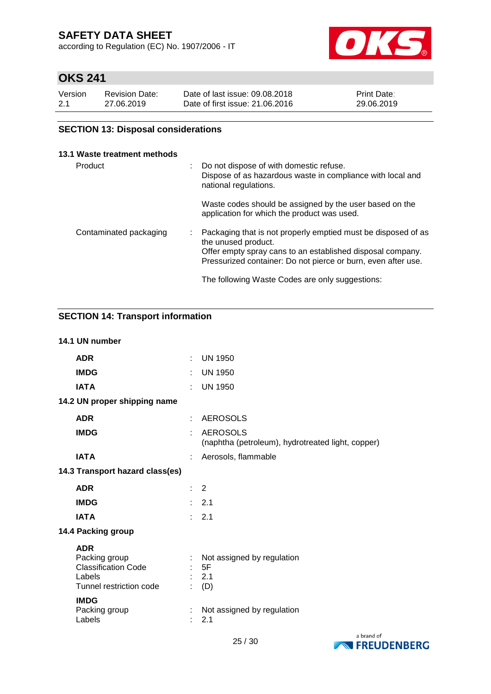according to Regulation (EC) No. 1907/2006 - IT



# **OKS 241**

| Version | <b>Revision Date:</b> | Date of last issue: 09.08.2018  | <b>Print Date:</b> |
|---------|-----------------------|---------------------------------|--------------------|
| 2.1     | 27.06.2019            | Date of first issue: 21,06,2016 | 29.06.2019         |

### **SECTION 13: Disposal considerations**

#### **13.1 Waste treatment methods**

| Product                |  | : Do not dispose of with domestic refuse.<br>Dispose of as hazardous waste in compliance with local and<br>national regulations.                                                                                    |
|------------------------|--|---------------------------------------------------------------------------------------------------------------------------------------------------------------------------------------------------------------------|
|                        |  | Waste codes should be assigned by the user based on the<br>application for which the product was used.                                                                                                              |
| Contaminated packaging |  | Packaging that is not properly emptied must be disposed of as<br>the unused product.<br>Offer empty spray cans to an established disposal company.<br>Pressurized container: Do not pierce or burn, even after use. |
|                        |  | The following Waste Codes are only suggestions:                                                                                                                                                                     |

### **SECTION 14: Transport information**

|                                 | 14.1 UN number                                                                                 |    |                                                                      |
|---------------------------------|------------------------------------------------------------------------------------------------|----|----------------------------------------------------------------------|
|                                 | <b>ADR</b>                                                                                     | ÷  | <b>UN 1950</b>                                                       |
|                                 | <b>IMDG</b>                                                                                    |    | <b>UN 1950</b>                                                       |
|                                 | <b>IATA</b>                                                                                    | ÷  | <b>UN 1950</b>                                                       |
|                                 | 14.2 UN proper shipping name                                                                   |    |                                                                      |
|                                 | <b>ADR</b>                                                                                     |    | <b>AEROSOLS</b>                                                      |
|                                 | <b>IMDG</b>                                                                                    |    | <b>AEROSOLS</b><br>(naphtha (petroleum), hydrotreated light, copper) |
|                                 | <b>IATA</b>                                                                                    |    | Aerosols, flammable                                                  |
| 14.3 Transport hazard class(es) |                                                                                                |    |                                                                      |
|                                 | <b>ADR</b>                                                                                     | t. | 2                                                                    |
|                                 | <b>IMDG</b>                                                                                    |    | : 2.1                                                                |
|                                 | <b>IATA</b>                                                                                    |    | 2.1                                                                  |
|                                 | 14.4 Packing group                                                                             |    |                                                                      |
|                                 | <b>ADR</b><br>Packing group<br><b>Classification Code</b><br>Labels<br>Tunnel restriction code |    | Not assigned by regulation<br>: 5F<br>: 2.1<br>(D)                   |
|                                 | <b>IMDG</b><br>Packing group<br>Labels                                                         |    | Not assigned by regulation<br>2.1                                    |

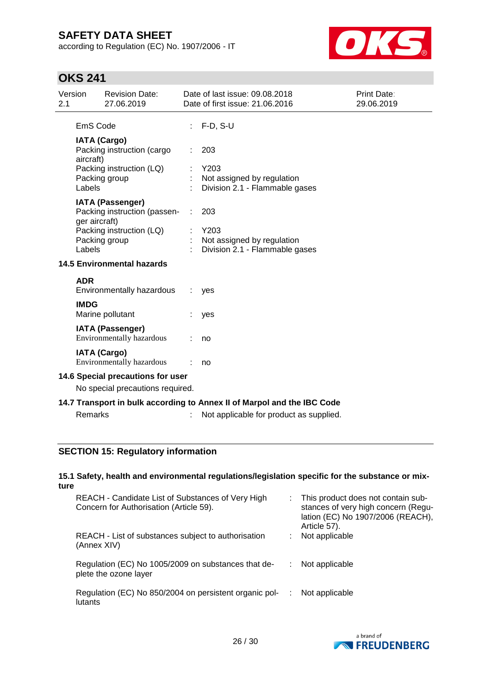according to Regulation (EC) No. 1907/2006 - IT



# **OKS 241**

| Version<br>2.1                                                        |                                  | <b>Revision Date:</b><br>27.06.2019                                                                  |    | Date of last issue: 09.08.2018<br>Date of first issue: 21.06.2016       | Print Date:<br>29.06.2019 |
|-----------------------------------------------------------------------|----------------------------------|------------------------------------------------------------------------------------------------------|----|-------------------------------------------------------------------------|---------------------------|
|                                                                       | EmS Code                         |                                                                                                      |    | $F-D, S-U$                                                              |                           |
|                                                                       | <b>IATA (Cargo)</b><br>aircraft) | Packing instruction (cargo<br>Packing instruction (LQ)                                               |    | 203<br>Y203                                                             |                           |
|                                                                       | Labels                           | Packing group                                                                                        |    | Not assigned by regulation<br>Division 2.1 - Flammable gases            |                           |
|                                                                       | ger aircraft)                    | <b>IATA (Passenger)</b><br>Packing instruction (passen-<br>Packing instruction (LQ)<br>Packing group |    | 203<br>Y203<br>Not assigned by regulation                               |                           |
|                                                                       | Labels                           | <b>14.5 Environmental hazards</b>                                                                    |    | Division 2.1 - Flammable gases                                          |                           |
|                                                                       | <b>ADR</b>                       | Environmentally hazardous                                                                            | ÷. | yes                                                                     |                           |
|                                                                       | <b>IMDG</b>                      | Marine pollutant                                                                                     |    | yes                                                                     |                           |
|                                                                       |                                  | <b>IATA (Passenger)</b><br>Environmentally hazardous                                                 |    | no                                                                      |                           |
|                                                                       |                                  | <b>IATA (Cargo)</b><br>Environmentally hazardous                                                     |    | no                                                                      |                           |
| 14.6 Special precautions for user<br>No special precautions required. |                                  |                                                                                                      |    |                                                                         |                           |
|                                                                       |                                  |                                                                                                      |    | 14.7 Transport in bulk according to Annex II of Marpol and the IBC Code |                           |
|                                                                       | Remarks                          |                                                                                                      |    | Not applicable for product as supplied.                                 |                           |
|                                                                       |                                  |                                                                                                      |    |                                                                         |                           |

### **SECTION 15: Regulatory information**

#### **15.1 Safety, health and environmental regulations/legislation specific for the substance or mixture**

| REACH - Candidate List of Substances of Very High<br>Concern for Authorisation (Article 59). | This product does not contain sub-<br>stances of very high concern (Regu-<br>lation (EC) No 1907/2006 (REACH),<br>Article 57). |
|----------------------------------------------------------------------------------------------|--------------------------------------------------------------------------------------------------------------------------------|
| REACH - List of substances subject to authorisation<br>(Annex XIV)                           | Not applicable                                                                                                                 |
| Regulation (EC) No 1005/2009 on substances that de-<br>plete the ozone layer                 | Not applicable                                                                                                                 |
| Regulation (EC) No 850/2004 on persistent organic pol-<br>lutants                            | Not applicable                                                                                                                 |

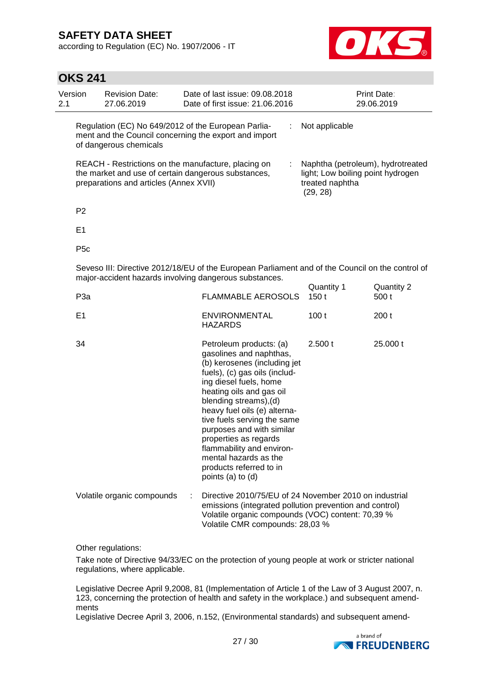according to Regulation (EC) No. 1907/2006 - IT



### **OKS 241**

| Version<br>2.1 | <b>Revision Date:</b><br>27.06.2019    | Date of last issue: 09.08.2018<br>Date of first issue: 21.06.2016                                            | <b>Print Date:</b><br>29.06.2019                                                                      |
|----------------|----------------------------------------|--------------------------------------------------------------------------------------------------------------|-------------------------------------------------------------------------------------------------------|
|                | of dangerous chemicals                 | Regulation (EC) No 649/2012 of the European Parlia-<br>ment and the Council concerning the export and import | Not applicable                                                                                        |
|                | preparations and articles (Annex XVII) | REACH - Restrictions on the manufacture, placing on<br>the market and use of certain dangerous substances,   | Naphtha (petroleum), hydrotreated<br>light; Low boiling point hydrogen<br>treated naphtha<br>(29, 28) |

P2

E1

P5c

Seveso III: Directive 2012/18/EU of the European Parliament and of the Council on the control of major-accident hazards involving dangerous substances. Quantity 1 Quantity 2

| P <sub>3</sub> a           | <b>FLAMMABLE AEROSOLS</b>                                                                                                                                                                                                                                                                                                                                                                                                      | Quanniy i<br>150 t | Qualitity 2<br>500 t |
|----------------------------|--------------------------------------------------------------------------------------------------------------------------------------------------------------------------------------------------------------------------------------------------------------------------------------------------------------------------------------------------------------------------------------------------------------------------------|--------------------|----------------------|
| E1                         | <b>ENVIRONMENTAL</b><br><b>HAZARDS</b>                                                                                                                                                                                                                                                                                                                                                                                         | 100t               | 200t                 |
| 34                         | Petroleum products: (a)<br>gasolines and naphthas,<br>(b) kerosenes (including jet<br>fuels), (c) gas oils (includ-<br>ing diesel fuels, home<br>heating oils and gas oil<br>blending streams), (d)<br>heavy fuel oils (e) alterna-<br>tive fuels serving the same<br>purposes and with similar<br>properties as regards<br>flammability and environ-<br>mental hazards as the<br>products referred to in<br>points (a) to (d) | 2.500 t            | 25,000 t             |
| Volatile organic compounds | Directive 2010/75/EU of 24 November 2010 on industrial<br>÷<br>emissions (integrated pollution prevention and control)<br>Volatile organic compounds (VOC) content: 70,39 %                                                                                                                                                                                                                                                    |                    |                      |

Other regulations:

Take note of Directive 94/33/EC on the protection of young people at work or stricter national regulations, where applicable.

Volatile CMR compounds: 28,03 %

Legislative Decree April 9,2008, 81 (Implementation of Article 1 of the Law of 3 August 2007, n. 123, concerning the protection of health and safety in the workplace.) and subsequent amendments

Legislative Decree April 3, 2006, n.152, (Environmental standards) and subsequent amend-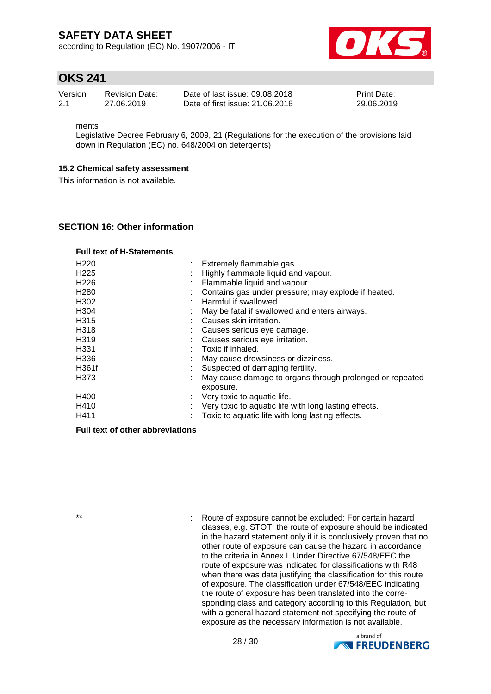according to Regulation (EC) No. 1907/2006 - IT



### **OKS 241**

| Version | <b>Revision Date:</b> | Date of last issue: 09.08.2018  | <b>Print Date:</b> |
|---------|-----------------------|---------------------------------|--------------------|
| -2.1    | 27.06.2019            | Date of first issue: 21,06,2016 | 29.06.2019         |

ments

Legislative Decree February 6, 2009, 21 (Regulations for the execution of the provisions laid down in Regulation (EC) no. 648/2004 on detergents)

#### **15.2 Chemical safety assessment**

This information is not available.

#### **SECTION 16: Other information**

#### **Full text of H-Statements**

| H <sub>220</sub> |         | Extremely flammable gas.                                 |
|------------------|---------|----------------------------------------------------------|
| H <sub>225</sub> | ٠<br>×. | Highly flammable liquid and vapour.                      |
| H <sub>226</sub> |         | Flammable liquid and vapour.                             |
| H <sub>280</sub> |         | Contains gas under pressure; may explode if heated.      |
| H <sub>302</sub> |         | Harmful if swallowed.                                    |
| H <sub>304</sub> |         | May be fatal if swallowed and enters airways.            |
| H315             |         | Causes skin irritation.                                  |
| H318             |         | Causes serious eye damage.                               |
| H319             |         | Causes serious eye irritation.                           |
| H <sub>331</sub> |         | Toxic if inhaled.                                        |
| H336             |         | May cause drowsiness or dizziness.                       |
| H361f            |         | Suspected of damaging fertility.                         |
| H373             |         | May cause damage to organs through prolonged or repeated |
|                  |         | exposure.                                                |
| H400             | ÷       | Very toxic to aquatic life.                              |
| H410             |         | Very toxic to aquatic life with long lasting effects.    |
| H411             |         | Toxic to aquatic life with long lasting effects.         |

#### **Full text of other abbreviations**

\*\* : Route of exposure cannot be excluded: For certain hazard classes, e.g. STOT, the route of exposure should be indicated in the hazard statement only if it is conclusively proven that no other route of exposure can cause the hazard in accordance to the criteria in Annex I. Under Directive 67/548/EEC the route of exposure was indicated for classifications with R48 when there was data justifying the classification for this route of exposure. The classification under 67/548/EEC indicating the route of exposure has been translated into the corresponding class and category according to this Regulation, but with a general hazard statement not specifying the route of exposure as the necessary information is not available.

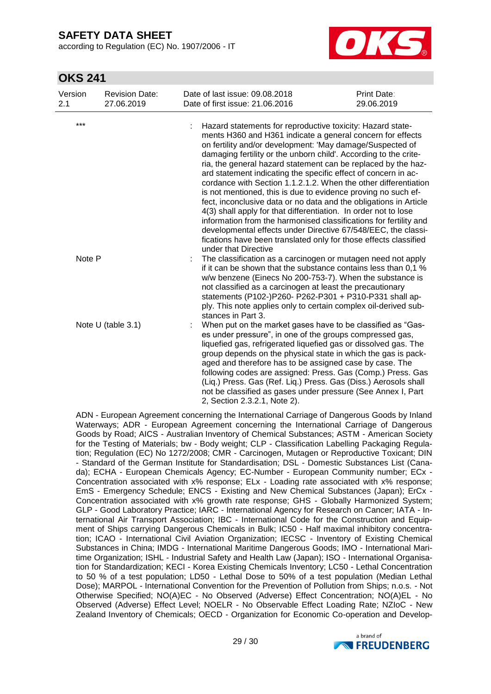according to Regulation (EC) No. 1907/2006 - IT



### **OKS 241**

| Version<br>2.1 | <b>Revision Date:</b><br>27.06.2019 | Date of last issue: 09.08.2018<br>Date of first issue: 21.06.2016                                                                                                                                                                                                                                                                                                                                                                                                                         | Print Date:<br>29.06.2019                                                                                                                                                                                                                                                                                                                                                                                       |
|----------------|-------------------------------------|-------------------------------------------------------------------------------------------------------------------------------------------------------------------------------------------------------------------------------------------------------------------------------------------------------------------------------------------------------------------------------------------------------------------------------------------------------------------------------------------|-----------------------------------------------------------------------------------------------------------------------------------------------------------------------------------------------------------------------------------------------------------------------------------------------------------------------------------------------------------------------------------------------------------------|
| $***$          |                                     | Hazard statements for reproductive toxicity: Hazard state-<br>ments H360 and H361 indicate a general concern for effects<br>on fertility and/or development: 'May damage/Suspected of<br>damaging fertility or the unborn child'. According to the crite-<br>ard statement indicating the specific effect of concern in ac-<br>is not mentioned, this is due to evidence proving no such ef-<br>4(3) shall apply for that differentiation. In order not to lose<br>under that Directive   | ria, the general hazard statement can be replaced by the haz-<br>cordance with Section 1.1.2.1.2. When the other differentiation<br>fect, inconclusive data or no data and the obligations in Article<br>information from the harmonised classifications for fertility and<br>developmental effects under Directive 67/548/EEC, the classi-<br>fications have been translated only for those effects classified |
| Note P         |                                     | The classification as a carcinogen or mutagen need not apply<br>w/w benzene (Einecs No 200-753-7). When the substance is<br>not classified as a carcinogen at least the precautionary<br>statements (P102-)P260- P262-P301 + P310-P331 shall ap-<br>ply. This note applies only to certain complex oil-derived sub-<br>stances in Part 3.                                                                                                                                                 | if it can be shown that the substance contains less than 0,1 %                                                                                                                                                                                                                                                                                                                                                  |
|                | Note U (table 3.1)                  | When put on the market gases have to be classified as "Gas-<br>es under pressure", in one of the groups compressed gas,<br>liquefied gas, refrigerated liquefied gas or dissolved gas. The<br>group depends on the physical state in which the gas is pack-<br>aged and therefore has to be assigned case by case. The<br>(Liq.) Press. Gas (Ref. Liq.) Press. Gas (Diss.) Aerosols shall<br>not be classified as gases under pressure (See Annex I, Part<br>2, Section 2.3.2.1, Note 2). | following codes are assigned: Press. Gas (Comp.) Press. Gas                                                                                                                                                                                                                                                                                                                                                     |

ADN - European Agreement concerning the International Carriage of Dangerous Goods by Inland Waterways; ADR - European Agreement concerning the International Carriage of Dangerous Goods by Road; AICS - Australian Inventory of Chemical Substances; ASTM - American Society for the Testing of Materials; bw - Body weight; CLP - Classification Labelling Packaging Regulation; Regulation (EC) No 1272/2008; CMR - Carcinogen, Mutagen or Reproductive Toxicant; DIN - Standard of the German Institute for Standardisation; DSL - Domestic Substances List (Canada); ECHA - European Chemicals Agency; EC-Number - European Community number; ECx - Concentration associated with x% response; ELx - Loading rate associated with x% response; EmS - Emergency Schedule; ENCS - Existing and New Chemical Substances (Japan); ErCx - Concentration associated with x% growth rate response; GHS - Globally Harmonized System; GLP - Good Laboratory Practice; IARC - International Agency for Research on Cancer; IATA - International Air Transport Association; IBC - International Code for the Construction and Equipment of Ships carrying Dangerous Chemicals in Bulk; IC50 - Half maximal inhibitory concentration; ICAO - International Civil Aviation Organization; IECSC - Inventory of Existing Chemical Substances in China; IMDG - International Maritime Dangerous Goods; IMO - International Maritime Organization; ISHL - Industrial Safety and Health Law (Japan); ISO - International Organisation for Standardization; KECI - Korea Existing Chemicals Inventory; LC50 - Lethal Concentration to 50 % of a test population; LD50 - Lethal Dose to 50% of a test population (Median Lethal Dose); MARPOL - International Convention for the Prevention of Pollution from Ships; n.o.s. - Not Otherwise Specified; NO(A)EC - No Observed (Adverse) Effect Concentration; NO(A)EL - No Observed (Adverse) Effect Level; NOELR - No Observable Effect Loading Rate; NZIoC - New Zealand Inventory of Chemicals; OECD - Organization for Economic Co-operation and Develop-